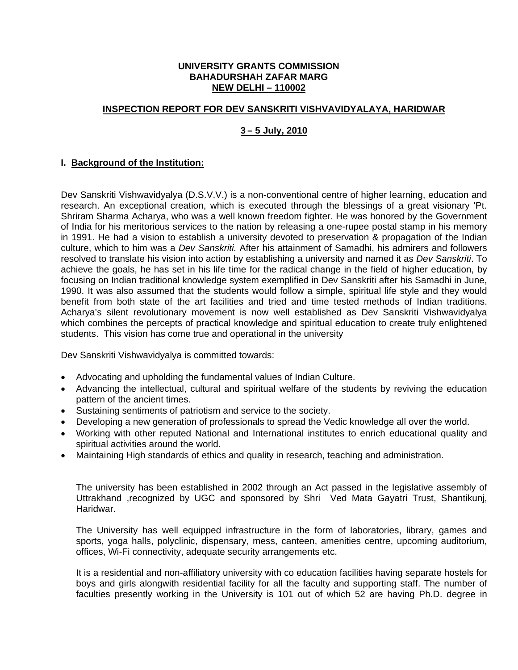#### **UNIVERSITY GRANTS COMMISSION BAHADURSHAH ZAFAR MARG NEW DELHI – 110002**

## **INSPECTION REPORT FOR DEV SANSKRITI VISHVAVIDYALAYA, HARIDWAR**

# **3 – 5 July, 2010**

## **I. Background of the Institution:**

Dev Sanskriti Vishwavidyalya (D.S.V.V.) is a non-conventional centre of higher learning, education and research. An exceptional creation, which is executed through the blessings of a great visionary 'Pt. Shriram Sharma Acharya, who was a well known freedom fighter. He was honored by the Government of India for his meritorious services to the nation by releasing a one-rupee postal stamp in his memory in 1991. He had a vision to establish a university devoted to preservation & propagation of the Indian culture, which to him was a *Dev Sanskriti.* After his attainment of Samadhi, his admirers and followers resolved to translate his vision into action by establishing a university and named it as *Dev Sanskriti*. To achieve the goals, he has set in his life time for the radical change in the field of higher education, by focusing on Indian traditional knowledge system exemplified in Dev Sanskriti after his Samadhi in June, 1990. It was also assumed that the students would follow a simple, spiritual life style and they would benefit from both state of the art facilities and tried and time tested methods of Indian traditions. Acharya's silent revolutionary movement is now well established as Dev Sanskriti Vishwavidyalya which combines the percepts of practical knowledge and spiritual education to create truly enlightened students. This vision has come true and operational in the university

Dev Sanskriti Vishwavidyalya is committed towards:

- Advocating and upholding the fundamental values of Indian Culture.
- Advancing the intellectual, cultural and spiritual welfare of the students by reviving the education pattern of the ancient times.
- Sustaining sentiments of patriotism and service to the society.
- Developing a new generation of professionals to spread the Vedic knowledge all over the world.
- Working with other reputed National and International institutes to enrich educational quality and spiritual activities around the world.
- Maintaining High standards of ethics and quality in research, teaching and administration.

The university has been established in 2002 through an Act passed in the legislative assembly of Uttrakhand ,recognized by UGC and sponsored by Shri Ved Mata Gayatri Trust, Shantikunj, Haridwar.

The University has well equipped infrastructure in the form of laboratories, library, games and sports, yoga halls, polyclinic, dispensary, mess, canteen, amenities centre, upcoming auditorium, offices, Wi-Fi connectivity, adequate security arrangements etc.

It is a residential and non-affiliatory university with co education facilities having separate hostels for boys and girls alongwith residential facility for all the faculty and supporting staff. The number of faculties presently working in the University is 101 out of which 52 are having Ph.D. degree in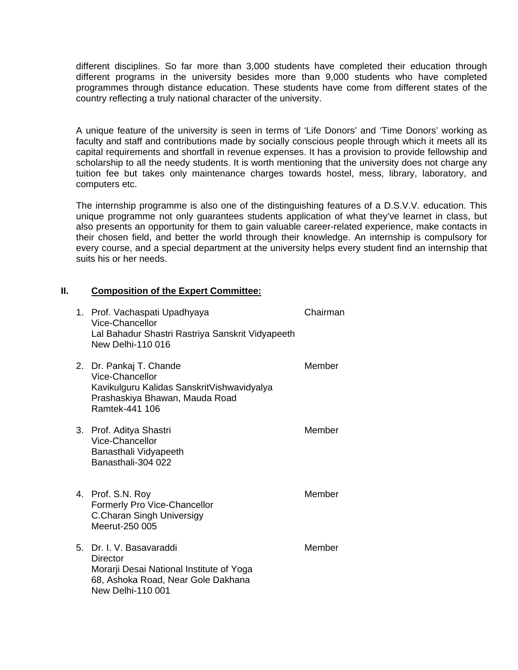different disciplines. So far more than 3,000 students have completed their education through different programs in the university besides more than 9,000 students who have completed programmes through distance education. These students have come from different states of the country reflecting a truly national character of the university.

A unique feature of the university is seen in terms of 'Life Donors' and 'Time Donors' working as faculty and staff and contributions made by socially conscious people through which it meets all its capital requirements and shortfall in revenue expenses. It has a provision to provide fellowship and scholarship to all the needy students. It is worth mentioning that the university does not charge any tuition fee but takes only maintenance charges towards hostel, mess, library, laboratory, and computers etc.

The internship programme is also one of the distinguishing features of a D.S.V.V. education. This unique programme not only guarantees students application of what they've learnet in class, but also presents an opportunity for them to gain valuable career-related experience, make contacts in their chosen field, and better the world through their knowledge. An internship is compulsory for every course, and a special department at the university helps every student find an internship that suits his or her needs.

## **II. Composition of the Expert Committee:**

| 1. Prof. Vachaspati Upadhyaya<br>Vice-Chancellor<br>Lal Bahadur Shastri Rastriya Sanskrit Vidyapeeth<br>New Delhi-110 016                    | Chairman |
|----------------------------------------------------------------------------------------------------------------------------------------------|----------|
| 2. Dr. Pankaj T. Chande<br>Vice-Chancellor<br>Kavikulguru Kalidas SanskritVishwavidyalya<br>Prashaskiya Bhawan, Mauda Road<br>Ramtek-441 106 | Member   |
| 3. Prof. Aditya Shastri<br>Vice-Chancellor<br>Banasthali Vidyapeeth<br>Banasthali-304 022                                                    | Member   |
| 4. Prof. S.N. Roy<br>Formerly Pro Vice-Chancellor<br>C.Charan Singh Universigy<br>Meerut-250 005                                             | Member   |
| 5. Dr. I. V. Basavaraddi<br>Director<br>Morarji Desai National Institute of Yoga<br>68, Ashoka Road, Near Gole Dakhana<br>New Delhi-110 001  | Member   |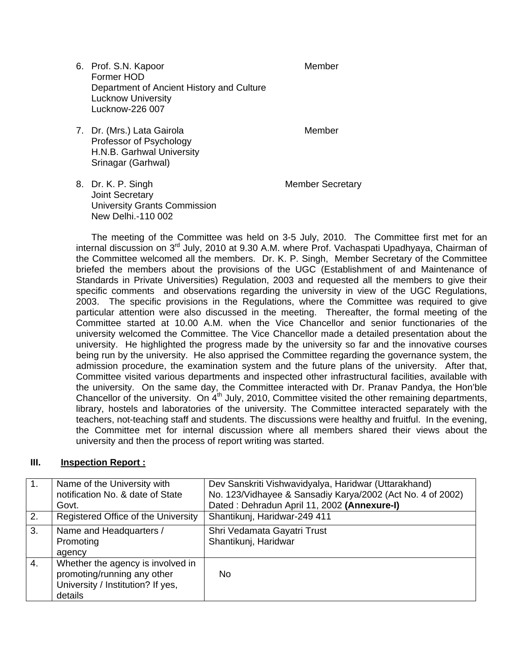6. Prof. S.N. Kapoor Member Former HOD Department of Ancient History and Culture Lucknow University Lucknow-226 007

7. Dr. (Mrs.) Lata Gairola **Member** Member Professor of Psychology H.N.B. Garhwal University Srinagar (Garhwal)

8. Dr. K. P. Singh Member Secretary Joint Secretary University Grants Commission New Delhi.-110 002

The meeting of the Committee was held on 3-5 July, 2010. The Committee first met for an internal discussion on 3<sup>rd</sup> July, 2010 at 9.30 A.M. where Prof. Vachaspati Upadhyaya, Chairman of the Committee welcomed all the members. Dr. K. P. Singh, Member Secretary of the Committee briefed the members about the provisions of the UGC (Establishment of and Maintenance of Standards in Private Universities) Regulation, 2003 and requested all the members to give their specific comments and observations regarding the university in view of the UGC Regulations, 2003. The specific provisions in the Regulations, where the Committee was required to give particular attention were also discussed in the meeting. Thereafter, the formal meeting of the Committee started at 10.00 A.M. when the Vice Chancellor and senior functionaries of the university welcomed the Committee. The Vice Chancellor made a detailed presentation about the university. He highlighted the progress made by the university so far and the innovative courses being run by the university. He also apprised the Committee regarding the governance system, the admission procedure, the examination system and the future plans of the university. After that, Committee visited various departments and inspected other infrastructural facilities, available with the university. On the same day, the Committee interacted with Dr. Pranav Pandya, the Hon'ble Chancellor of the university. On  $4<sup>th</sup>$  July, 2010, Committee visited the other remaining departments, library, hostels and laboratories of the university. The Committee interacted separately with the teachers, not-teaching staff and students. The discussions were healthy and fruitful. In the evening, the Committee met for internal discussion where all members shared their views about the university and then the process of report writing was started.

#### **III. Inspection Report :**

| 1. | Name of the University with                                                                                      | Dev Sanskriti Vishwavidyalya, Haridwar (Uttarakhand)       |
|----|------------------------------------------------------------------------------------------------------------------|------------------------------------------------------------|
|    | notification No. & date of State                                                                                 | No. 123/Vidhayee & Sansadiy Karya/2002 (Act No. 4 of 2002) |
|    | Govt.                                                                                                            | Dated: Dehradun April 11, 2002 (Annexure-I)                |
| 2. | Registered Office of the University                                                                              | Shantikunj, Haridwar-249 411                               |
| 3. | Name and Headquarters /<br>Promoting<br>agency                                                                   | Shri Vedamata Gayatri Trust<br>Shantikunj, Haridwar        |
| 4. | Whether the agency is involved in<br>promoting/running any other<br>University / Institution? If yes,<br>details | No.                                                        |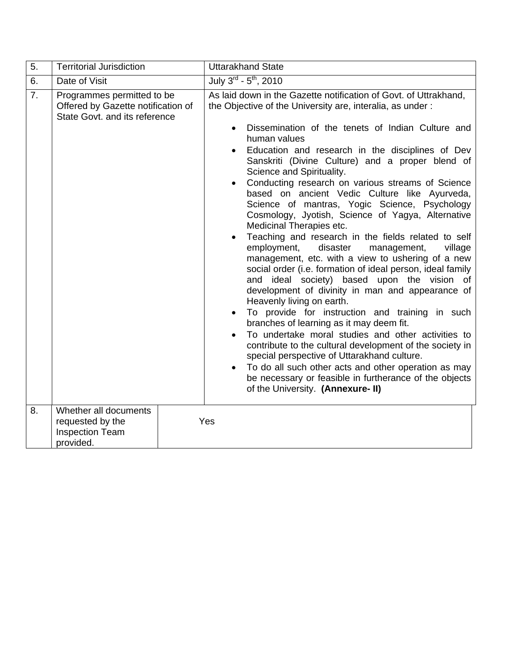| 5. | <b>Territorial Jurisdiction</b>                                                                   | <b>Uttarakhand State</b>                                                                                                                                                                                                                                                                                                                                                                                                                                                                                                                                                                                                                                                                                                                                                                                                                                                                                                                                                                                                                                                                                                                                                                                                                                                                                                                                                                                                                               |  |  |  |
|----|---------------------------------------------------------------------------------------------------|--------------------------------------------------------------------------------------------------------------------------------------------------------------------------------------------------------------------------------------------------------------------------------------------------------------------------------------------------------------------------------------------------------------------------------------------------------------------------------------------------------------------------------------------------------------------------------------------------------------------------------------------------------------------------------------------------------------------------------------------------------------------------------------------------------------------------------------------------------------------------------------------------------------------------------------------------------------------------------------------------------------------------------------------------------------------------------------------------------------------------------------------------------------------------------------------------------------------------------------------------------------------------------------------------------------------------------------------------------------------------------------------------------------------------------------------------------|--|--|--|
| 6. | Date of Visit                                                                                     | July $3^{\text{rd}}$ - $5^{\text{th}}$ , 2010                                                                                                                                                                                                                                                                                                                                                                                                                                                                                                                                                                                                                                                                                                                                                                                                                                                                                                                                                                                                                                                                                                                                                                                                                                                                                                                                                                                                          |  |  |  |
| 7. | Programmes permitted to be<br>Offered by Gazette notification of<br>State Govt. and its reference | As laid down in the Gazette notification of Govt. of Uttrakhand,<br>the Objective of the University are, interalia, as under:<br>Dissemination of the tenets of Indian Culture and<br>$\bullet$<br>human values<br>Education and research in the disciplines of Dev<br>$\bullet$<br>Sanskriti (Divine Culture) and a proper blend of<br>Science and Spirituality.<br>Conducting research on various streams of Science<br>$\bullet$<br>based on ancient Vedic Culture like Ayurveda,<br>Science of mantras, Yogic Science, Psychology<br>Cosmology, Jyotish, Science of Yagya, Alternative<br>Medicinal Therapies etc.<br>Teaching and research in the fields related to self<br>$\bullet$<br>employment,<br>disaster<br>management,<br>village<br>management, etc. with a view to ushering of a new<br>social order (i.e. formation of ideal person, ideal family<br>ideal society) based upon the vision of<br>and<br>development of divinity in man and appearance of<br>Heavenly living on earth.<br>To provide for instruction and training in such<br>$\bullet$<br>branches of learning as it may deem fit.<br>To undertake moral studies and other activities to<br>$\bullet$<br>contribute to the cultural development of the society in<br>special perspective of Uttarakhand culture.<br>To do all such other acts and other operation as may<br>be necessary or feasible in furtherance of the objects<br>of the University. (Annexure- II) |  |  |  |
| 8. | Whether all documents<br>requested by the<br><b>Inspection Team</b><br>provided.                  | Yes                                                                                                                                                                                                                                                                                                                                                                                                                                                                                                                                                                                                                                                                                                                                                                                                                                                                                                                                                                                                                                                                                                                                                                                                                                                                                                                                                                                                                                                    |  |  |  |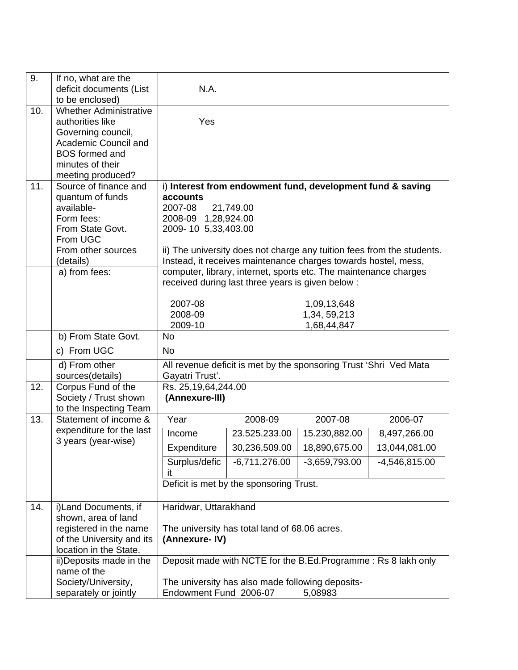| 9.  | If no, what are the<br>deficit documents (List      | N.A.                                  |                                                   |                                                                   |                                                                        |  |  |  |
|-----|-----------------------------------------------------|---------------------------------------|---------------------------------------------------|-------------------------------------------------------------------|------------------------------------------------------------------------|--|--|--|
|     | to be enclosed)                                     |                                       |                                                   |                                                                   |                                                                        |  |  |  |
| 10. | <b>Whether Administrative</b><br>authorities like   | Yes                                   |                                                   |                                                                   |                                                                        |  |  |  |
|     | Governing council,                                  |                                       |                                                   |                                                                   |                                                                        |  |  |  |
|     | Academic Council and                                |                                       |                                                   |                                                                   |                                                                        |  |  |  |
|     | <b>BOS</b> formed and                               |                                       |                                                   |                                                                   |                                                                        |  |  |  |
|     | minutes of their                                    |                                       |                                                   |                                                                   |                                                                        |  |  |  |
|     | meeting produced?                                   |                                       |                                                   |                                                                   |                                                                        |  |  |  |
| 11. | Source of finance and                               |                                       |                                                   | i) Interest from endowment fund, development fund & saving        |                                                                        |  |  |  |
|     | quantum of funds                                    | accounts                              |                                                   |                                                                   |                                                                        |  |  |  |
|     | available-<br>Form fees:                            | 2007-08<br>2008-09 1,28,924.00        | 21,749.00                                         |                                                                   |                                                                        |  |  |  |
|     | From State Govt.                                    | 2009-10 5,33,403.00                   |                                                   |                                                                   |                                                                        |  |  |  |
|     | From UGC                                            |                                       |                                                   |                                                                   |                                                                        |  |  |  |
|     | From other sources                                  |                                       |                                                   |                                                                   | ii) The university does not charge any tuition fees from the students. |  |  |  |
|     | (details)                                           |                                       |                                                   | Instead, it receives maintenance charges towards hostel, mess,    |                                                                        |  |  |  |
|     | a) from fees:                                       |                                       |                                                   | computer, library, internet, sports etc. The maintenance charges  |                                                                        |  |  |  |
|     |                                                     |                                       | received during last three years is given below : |                                                                   |                                                                        |  |  |  |
|     |                                                     | 2007-08                               |                                                   | 1,09,13,648                                                       |                                                                        |  |  |  |
|     |                                                     | 2008-09                               |                                                   | 1,34, 59, 213                                                     |                                                                        |  |  |  |
|     |                                                     | 2009-10                               |                                                   | 1,68,44,847                                                       |                                                                        |  |  |  |
|     | b) From State Govt.                                 | <b>No</b>                             |                                                   |                                                                   |                                                                        |  |  |  |
|     | c) From UGC                                         | <b>No</b>                             |                                                   |                                                                   |                                                                        |  |  |  |
|     | d) From other                                       |                                       |                                                   | All revenue deficit is met by the sponsoring Trust 'Shri Ved Mata |                                                                        |  |  |  |
|     | sources(details)                                    | Gayatri Trust'.                       |                                                   |                                                                   |                                                                        |  |  |  |
| 12. | Corpus Fund of the<br>Society / Trust shown         | Rs. 25,19,64,244.00<br>(Annexure-III) |                                                   |                                                                   |                                                                        |  |  |  |
|     | to the Inspecting Team                              |                                       |                                                   |                                                                   |                                                                        |  |  |  |
| 13. | Statement of income &                               | Year                                  | 2008-09                                           | 2007-08                                                           | 2006-07                                                                |  |  |  |
|     | expenditure for the last                            | Income                                | 23.525.233.00                                     | 15.230,882.00                                                     | 8,497,266.00                                                           |  |  |  |
|     | 3 years (year-wise)                                 | Expenditure                           | 30,236,509.00                                     | 18,890,675.00                                                     | 13,044,081.00                                                          |  |  |  |
|     |                                                     | Surplus/defic                         | $-6,711,276.00$                                   | $-3,659,793.00$                                                   | $-4,546,815.00$                                                        |  |  |  |
|     |                                                     | it                                    |                                                   |                                                                   |                                                                        |  |  |  |
|     |                                                     |                                       | Deficit is met by the sponsoring Trust.           |                                                                   |                                                                        |  |  |  |
|     |                                                     |                                       |                                                   |                                                                   |                                                                        |  |  |  |
| 14. | i)Land Documents, if                                | Haridwar, Uttarakhand                 |                                                   |                                                                   |                                                                        |  |  |  |
|     | shown, area of land                                 |                                       |                                                   |                                                                   |                                                                        |  |  |  |
|     | registered in the name<br>of the University and its | (Annexure-IV)                         | The university has total land of 68.06 acres.     |                                                                   |                                                                        |  |  |  |
|     | location in the State.                              |                                       |                                                   |                                                                   |                                                                        |  |  |  |
|     | ii) Deposits made in the                            |                                       |                                                   | Deposit made with NCTE for the B.Ed.Programme: Rs 8 lakh only     |                                                                        |  |  |  |
|     | name of the                                         |                                       |                                                   |                                                                   |                                                                        |  |  |  |
|     | Society/University,                                 |                                       | The university has also made following deposits-  |                                                                   |                                                                        |  |  |  |
|     | separately or jointly                               | Endowment Fund 2006-07                |                                                   | 5,08983                                                           |                                                                        |  |  |  |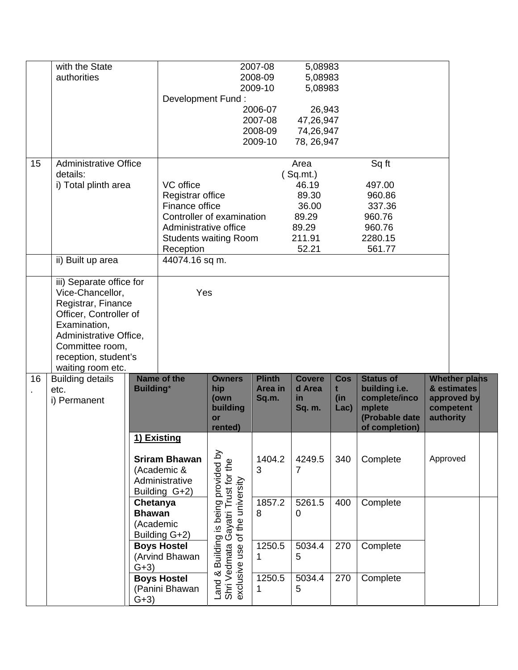|          | with the State<br>authorities                                                                                                                                                                          |                                                         | Development Fund:                                                                     |                                                                                | 2007-08<br>2008-09<br>2009-10<br>2006-07<br>2007-08<br>2008-09<br>2009-10 | 5,08983<br>5,08983<br>5,08983<br>26,943<br>47,26,947<br>74,26,947<br>78, 26, 947 |                                |                                                                                                  |           |                                                          |  |
|----------|--------------------------------------------------------------------------------------------------------------------------------------------------------------------------------------------------------|---------------------------------------------------------|---------------------------------------------------------------------------------------|--------------------------------------------------------------------------------|---------------------------------------------------------------------------|----------------------------------------------------------------------------------|--------------------------------|--------------------------------------------------------------------------------------------------|-----------|----------------------------------------------------------|--|
| 15       | <b>Administrative Office</b><br>details:<br>i) Total plinth area                                                                                                                                       |                                                         | VC office<br>Registrar office<br>Finance office<br>Administrative office<br>Reception | Controller of examination<br><b>Students waiting Room</b>                      |                                                                           | Area<br>(Sq.mt.)<br>46.19<br>89.30<br>36.00<br>89.29<br>89.29<br>211.91<br>52.21 |                                | Sq ft<br>497.00<br>960.86<br>337.36<br>960.76<br>960.76<br>2280.15<br>561.77                     |           |                                                          |  |
|          | ii) Built up area                                                                                                                                                                                      |                                                         | 44074.16 sq m.                                                                        |                                                                                |                                                                           |                                                                                  |                                |                                                                                                  |           |                                                          |  |
|          | iii) Separate office for<br>Vice-Chancellor,<br>Registrar, Finance<br>Officer, Controller of<br>Examination,<br>Administrative Office,<br>Committee room,<br>reception, student's<br>waiting room etc. |                                                         | Yes                                                                                   |                                                                                |                                                                           |                                                                                  |                                |                                                                                                  |           |                                                          |  |
| 16<br>×, | <b>Building details</b><br>etc.<br>i) Permanent                                                                                                                                                        | <b>Building*</b>                                        | Name of the                                                                           | <b>Owners</b><br>hip<br>(own<br>building<br>or<br>rented)                      | <b>Plinth</b><br>Area in<br>Sq.m.                                         | <b>Covere</b><br>d Area<br>in.<br>Sq. m.                                         | <b>Cos</b><br>t<br>(in<br>Lac) | <b>Status of</b><br>building i.e.<br>complete/inco<br>mplete<br>(Probable date<br>of completion) | authority | Whether plans<br>& estimates<br>approved by<br>competent |  |
|          |                                                                                                                                                                                                        |                                                         | 1) Existing<br><b>Sriram Bhawan</b><br>(Academic &<br>Administrative<br>Building G+2) |                                                                                | 1404.2<br>3                                                               | 4249.5<br>$\overline{7}$                                                         | 340                            | Complete                                                                                         | Approved  |                                                          |  |
|          |                                                                                                                                                                                                        | Chetanya<br><b>Bhawan</b><br>(Academic<br>Building G+2) |                                                                                       | Building is being provided by<br>dmata Gayatri Trust for the<br>the university | 1857.2<br>8                                                               | 5261.5<br>0                                                                      | 400                            | Complete                                                                                         |           |                                                          |  |
|          |                                                                                                                                                                                                        | $G+3)$                                                  | <b>Boys Hostel</b><br>(Arvind Bhawan                                                  | use of<br>Land & Building<br>Shri Vedmata<br>exclusive use o                   | 1250.5<br>1                                                               | 5034.4<br>5                                                                      | 270                            | Complete                                                                                         |           |                                                          |  |
|          |                                                                                                                                                                                                        | $G+3)$                                                  | <b>Boys Hostel</b><br>(Panini Bhawan                                                  |                                                                                | 1250.5<br>1                                                               | 5034.4<br>5                                                                      | 270                            | Complete                                                                                         |           |                                                          |  |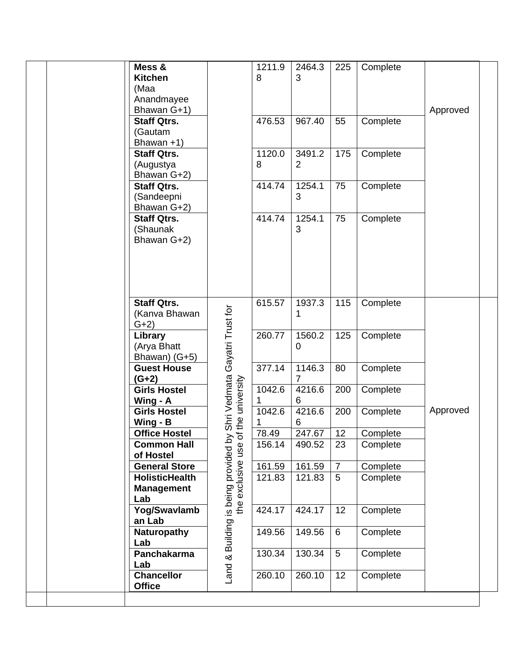|         | Mess &                |                                                                                                            | 1211.9 | 2464.3         | 225            | Complete |          |
|---------|-----------------------|------------------------------------------------------------------------------------------------------------|--------|----------------|----------------|----------|----------|
|         | <b>Kitchen</b>        |                                                                                                            | 8      | 3              |                |          |          |
| (Maa    |                       |                                                                                                            |        |                |                |          |          |
|         | Anandmayee            |                                                                                                            |        |                |                |          |          |
|         | Bhawan G+1)           |                                                                                                            |        |                |                |          | Approved |
|         | <b>Staff Qtrs.</b>    |                                                                                                            | 476.53 | 967.40         | 55             | Complete |          |
|         | (Gautam               |                                                                                                            |        |                |                |          |          |
|         | Bhawan $+1$ )         |                                                                                                            |        |                |                |          |          |
|         | <b>Staff Qtrs.</b>    |                                                                                                            | 1120.0 | 3491.2         | 175            | Complete |          |
|         | (Augustya             |                                                                                                            | 8      | $\overline{2}$ |                |          |          |
|         | Bhawan G+2)           |                                                                                                            |        |                |                |          |          |
|         | <b>Staff Qtrs.</b>    |                                                                                                            | 414.74 | 1254.1         | 75             | Complete |          |
|         | (Sandeepni            |                                                                                                            |        | 3              |                |          |          |
|         | Bhawan G+2)           |                                                                                                            |        |                |                |          |          |
|         | <b>Staff Qtrs.</b>    |                                                                                                            | 414.74 | 1254.1         | 75             | Complete |          |
|         | (Shaunak              |                                                                                                            |        | 3              |                |          |          |
|         | Bhawan G+2)           |                                                                                                            |        |                |                |          |          |
|         |                       |                                                                                                            |        |                |                |          |          |
|         |                       |                                                                                                            |        |                |                |          |          |
|         |                       |                                                                                                            |        |                |                |          |          |
|         |                       |                                                                                                            |        |                |                |          |          |
|         |                       |                                                                                                            |        |                |                |          |          |
|         | <b>Staff Qtrs.</b>    |                                                                                                            | 615.57 | 1937.3         | 115            | Complete |          |
|         | (Kanva Bhawan         |                                                                                                            |        | 1              |                |          |          |
| $G+2)$  |                       |                                                                                                            |        |                |                |          |          |
|         | Library               |                                                                                                            | 260.77 | 1560.2         | 125            | Complete |          |
|         | (Arya Bhatt           |                                                                                                            |        | 0              |                |          |          |
|         | Bhawan) (G+5)         |                                                                                                            |        |                |                |          |          |
|         | <b>Guest House</b>    |                                                                                                            | 377.14 | 1146.3         | 80             | Complete |          |
| $(G+2)$ |                       |                                                                                                            |        | 7              |                |          |          |
|         | <b>Girls Hostel</b>   |                                                                                                            | 1042.6 | 4216.6         | 200            | Complete |          |
|         | Wing - A              |                                                                                                            | 1.     | 6              |                |          |          |
|         | <b>Girls Hostel</b>   |                                                                                                            | 1042.6 | 4216.6         | 200            | Complete | Approved |
|         | Wing - B              |                                                                                                            |        | 6              |                |          |          |
|         | <b>Office Hostel</b>  |                                                                                                            | 78.49  | 247.67         | 12             | Complete |          |
|         | <b>Common Hall</b>    |                                                                                                            | 156.14 | 490.52         | 23             | Complete |          |
|         | of Hostel             |                                                                                                            |        |                |                |          |          |
|         | <b>General Store</b>  | Land & Building is being provided by Shri Vedmata Gayatri Trust for<br>the exclusive use of the university | 161.59 | 161.59         | $\overline{7}$ | Complete |          |
|         | <b>HolisticHealth</b> |                                                                                                            | 121.83 | 121.83         | 5              | Complete |          |
|         | <b>Management</b>     |                                                                                                            |        |                |                |          |          |
| Lab     |                       |                                                                                                            |        |                |                |          |          |
|         | Yog/Swavlamb          |                                                                                                            | 424.17 | 424.17         | 12             | Complete |          |
|         | an Lab                |                                                                                                            |        |                |                |          |          |
|         |                       |                                                                                                            |        |                | 6              |          |          |
|         | Naturopathy           |                                                                                                            | 149.56 | 149.56         |                | Complete |          |
| Lab     |                       |                                                                                                            |        |                |                |          |          |
|         | Panchakarma           |                                                                                                            | 130.34 | 130.34         | 5              | Complete |          |
| Lab     |                       |                                                                                                            |        |                |                |          |          |
|         | <b>Chancellor</b>     |                                                                                                            | 260.10 | 260.10         | 12             | Complete |          |
|         | <b>Office</b>         |                                                                                                            |        |                |                |          |          |
|         |                       |                                                                                                            |        |                |                |          |          |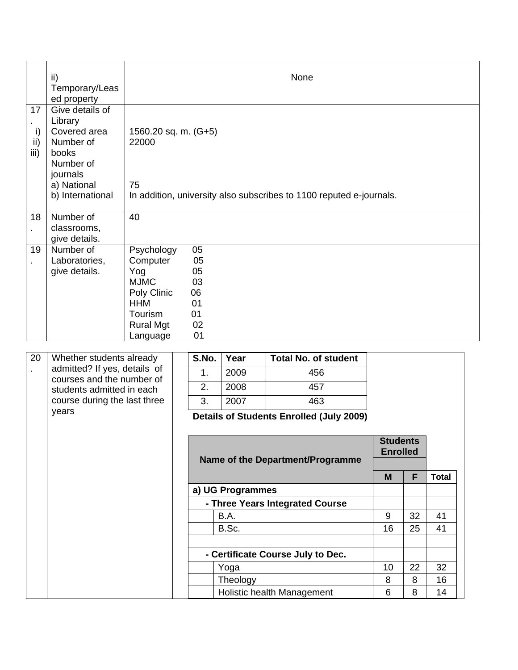|    | ii)<br>Temporary/Leas<br>ed property                                                                                                                    |                                                                                                                      |                                                    |              | None                                                                |  |
|----|---------------------------------------------------------------------------------------------------------------------------------------------------------|----------------------------------------------------------------------------------------------------------------------|----------------------------------------------------|--------------|---------------------------------------------------------------------|--|
|    | 17<br>Give details of<br>Library<br>i)<br>Covered area<br>ii)<br>Number of<br>iii)<br>books<br>Number of<br>journals<br>a) National<br>b) International | 1560.20 sq. m. (G+5)<br>22000<br>75                                                                                  |                                                    |              | In addition, university also subscribes to 1100 reputed e-journals. |  |
| ×, | Number of<br>18<br>classrooms,<br>give details.                                                                                                         | 40                                                                                                                   |                                                    |              |                                                                     |  |
|    | Number of<br>19<br>Laboratories,<br>give details.                                                                                                       | Psychology<br>Computer<br>Yog<br><b>MJMC</b><br>Poly Clinic<br><b>HHM</b><br>Tourism<br><b>Rural Mgt</b><br>Language | 05<br>05<br>05<br>03<br>06<br>01<br>01<br>02<br>01 |              |                                                                     |  |
|    | 20<br>Whether students already<br>admitted? If yes, details of                                                                                          |                                                                                                                      | S.No.<br>$\overline{A}$                            | Year<br>0000 | <b>Total No. of student</b><br>150                                  |  |

| admitted? If yes, details of<br>courses and the number of | 1.<br>2.                                        | 2009<br>2008     | 456<br>457                        |    |    |              |
|-----------------------------------------------------------|-------------------------------------------------|------------------|-----------------------------------|----|----|--------------|
| students admitted in each<br>course during the last three | 3.                                              | 2007             | 463                               |    |    |              |
| years                                                     | <b>Details of Students Enrolled (July 2009)</b> |                  |                                   |    |    |              |
| Name of the Department/Programme                          |                                                 |                  |                                   |    |    |              |
|                                                           |                                                 |                  |                                   | M  | F  | <b>Total</b> |
|                                                           |                                                 | a) UG Programmes |                                   |    |    |              |
|                                                           |                                                 |                  | - Three Years Integrated Course   |    |    |              |
|                                                           |                                                 | B.A.             |                                   | 9  | 32 | 41           |
|                                                           |                                                 | B.Sc.            |                                   | 16 | 25 | 41           |
|                                                           |                                                 |                  | - Certificate Course July to Dec. |    |    |              |
|                                                           |                                                 | Yoga             |                                   | 10 | 22 | 32           |
|                                                           |                                                 | Theology         |                                   | 8  | 8  | 16           |
|                                                           |                                                 |                  | Holistic health Management        | 6  | 8  | 14           |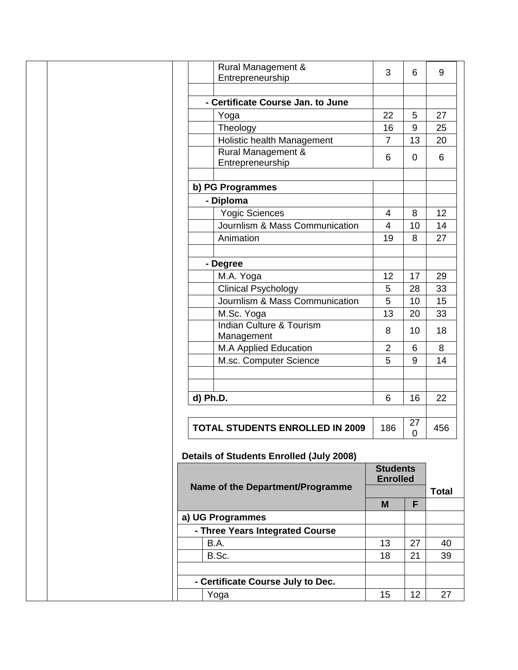| Rural Management &                              | 3                                  | 6           | 9            |
|-------------------------------------------------|------------------------------------|-------------|--------------|
| Entrepreneurship                                |                                    |             |              |
|                                                 |                                    |             |              |
| - Certificate Course Jan. to June               |                                    |             |              |
| Yoga                                            | 22                                 | 5           | 27           |
| Theology                                        | 16                                 | 9           | 25           |
| Holistic health Management                      | $\overline{7}$                     | 13          | 20           |
| Rural Management &                              |                                    |             |              |
| Entrepreneurship                                | 6                                  | 0           | 6            |
|                                                 |                                    |             |              |
| b) PG Programmes                                |                                    |             |              |
| - Diploma                                       |                                    |             |              |
| <b>Yogic Sciences</b>                           | 4                                  | 8           | 12           |
| Journlism & Mass Communication                  | $\overline{4}$                     | 10          | 14           |
| Animation                                       | 19                                 | 8           | 27           |
|                                                 |                                    |             |              |
| - Degree                                        |                                    |             |              |
| M.A. Yoga                                       | 12                                 | 17          | 29           |
| <b>Clinical Psychology</b>                      | 5                                  | 28          | 33           |
| Journlism & Mass Communication                  | 5                                  | 10          | 15           |
| M.Sc. Yoga                                      | 13                                 | 20          | 33           |
| <b>Indian Culture &amp; Tourism</b>             |                                    |             |              |
| Management                                      | 8                                  | 10          | 18           |
| M.A Applied Education                           | $\overline{2}$                     | 6           | 8            |
| M.sc. Computer Science                          | 5                                  | 9           | 14           |
|                                                 |                                    |             |              |
|                                                 |                                    |             |              |
| d) Ph.D.                                        | 6                                  | 16          | 22           |
|                                                 |                                    |             |              |
|                                                 |                                    | 27          |              |
| <b>TOTAL STUDENTS ENROLLED IN 2009</b>          | 186                                | $\mathbf 0$ | 456          |
|                                                 |                                    |             |              |
| <b>Details of Students Enrolled (July 2008)</b> |                                    |             |              |
|                                                 | <b>Students</b><br><b>Enrolled</b> |             |              |
| Name of the Department/Programme                |                                    |             | <b>Total</b> |
|                                                 |                                    |             |              |
|                                                 | M                                  | F           |              |
| a) UG Programmes                                |                                    |             |              |
| - Three Years Integrated Course                 |                                    |             |              |
| B.A.                                            | 13                                 | 27          | 40           |
| B.Sc.                                           | 18                                 | 21          | 39           |
|                                                 |                                    |             |              |
|                                                 |                                    |             |              |
|                                                 |                                    |             |              |
| - Certificate Course July to Dec.<br>Yoga       | 15                                 | 12          | 27           |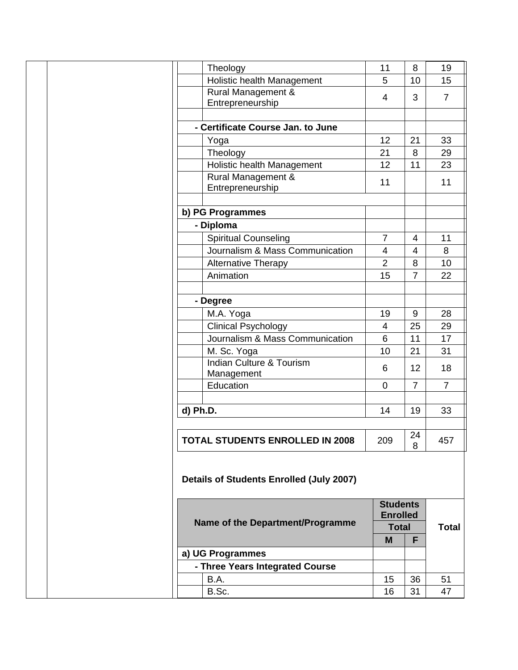| Theology                                 | 11                                 | 8              | 19             |
|------------------------------------------|------------------------------------|----------------|----------------|
| Holistic health Management               | 5                                  | 10             | 15             |
| <b>Rural Management &amp;</b>            |                                    |                |                |
| Entrepreneurship                         | $\overline{4}$                     | 3              | $\overline{7}$ |
|                                          |                                    |                |                |
| - Certificate Course Jan. to June        |                                    |                |                |
| Yoga                                     | 12                                 | 21             | 33             |
| Theology                                 | 21                                 | $\,8\,$        | 29             |
| Holistic health Management               | 12                                 | 11             | 23             |
| Rural Management &                       |                                    |                |                |
| Entrepreneurship                         | 11                                 |                | 11             |
| b) PG Programmes                         |                                    |                |                |
| - Diploma                                |                                    |                |                |
| <b>Spiritual Counseling</b>              | $\overline{7}$                     | 4              | 11             |
| Journalism & Mass Communication          | $\overline{4}$                     | 4              | 8              |
|                                          | $\overline{2}$                     | 8              | 10             |
| Alternative Therapy                      |                                    |                |                |
| Animation                                | 15                                 | $\overline{7}$ | 22             |
| - Degree                                 |                                    |                |                |
| M.A. Yoga                                | 19                                 | $9\,$          | 28             |
| <b>Clinical Psychology</b>               | $\overline{4}$                     | 25             | 29             |
| Journalism & Mass Communication          | 6                                  | 11             | 17             |
| M. Sc. Yoga                              | 10                                 | 21             | 31             |
| <b>Indian Culture &amp; Tourism</b>      |                                    |                |                |
| Management                               | 6                                  | 12             | 18             |
| Education                                | $\mathbf 0$                        | $\overline{7}$ | $\overline{7}$ |
|                                          |                                    |                |                |
| d) Ph.D.                                 | 14                                 | 19             | 33             |
|                                          |                                    |                |                |
| <b>TOTAL STUDENTS ENROLLED IN 2008</b>   | 209                                |                | 457            |
|                                          |                                    | 24<br>8        |                |
| Details of Students Enrolled (July 2007) |                                    |                |                |
| Name of the Department/Programme         | <b>Students</b><br><b>Enrolled</b> |                |                |
|                                          | <b>Total</b><br>M                  | F              | <b>Total</b>   |
| a) UG Programmes                         |                                    |                |                |
| - Three Years Integrated Course          |                                    |                |                |
| B.A.                                     | 15                                 | 36             | 51             |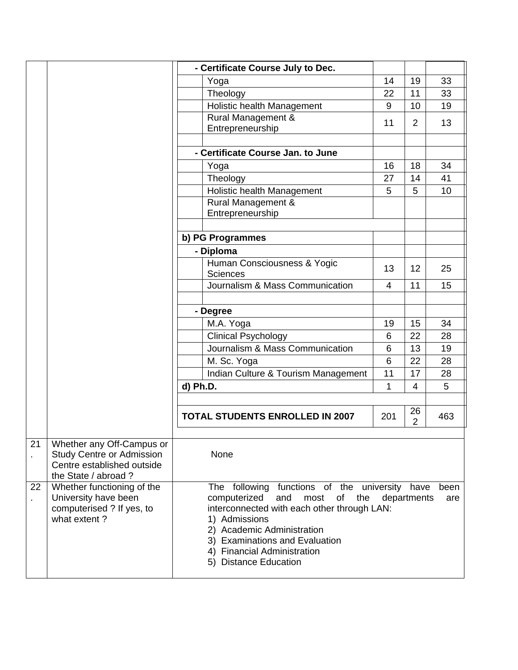|                |                                                               | - Certificate Course July to Dec.                            |             |                      |      |
|----------------|---------------------------------------------------------------|--------------------------------------------------------------|-------------|----------------------|------|
|                |                                                               | Yoga                                                         | 14          | 19                   | 33   |
|                |                                                               | Theology                                                     | 22          | 11                   | 33   |
|                |                                                               | Holistic health Management                                   | 9           | 10                   | 19   |
|                |                                                               | Rural Management &                                           | 11          | $\overline{2}$       | 13   |
|                |                                                               | Entrepreneurship                                             |             |                      |      |
|                |                                                               |                                                              |             |                      |      |
|                |                                                               | - Certificate Course Jan. to June                            |             |                      |      |
|                |                                                               | Yoga                                                         | 16          | 18                   | 34   |
|                |                                                               | Theology                                                     | 27          | 14                   | 41   |
|                |                                                               | Holistic health Management                                   | 5           | 5                    | 10   |
|                |                                                               | Rural Management &                                           |             |                      |      |
|                |                                                               | Entrepreneurship                                             |             |                      |      |
|                |                                                               |                                                              |             |                      |      |
|                |                                                               | b) PG Programmes                                             |             |                      |      |
|                |                                                               | - Diploma                                                    |             |                      |      |
|                |                                                               | Human Consciousness & Yogic                                  | 13          | 12                   | 25   |
|                |                                                               | Sciences                                                     |             |                      |      |
|                |                                                               | Journalism & Mass Communication                              | 4           | 11                   | 15   |
|                |                                                               |                                                              |             |                      |      |
|                |                                                               | - Degree                                                     |             |                      |      |
|                |                                                               | M.A. Yoga                                                    | 19          | 15                   | 34   |
|                |                                                               | <b>Clinical Psychology</b>                                   | 6           | 22                   | 28   |
|                |                                                               | Journalism & Mass Communication                              | 6           | 13                   | 19   |
|                |                                                               | M. Sc. Yoga                                                  | 6           | 22                   | 28   |
|                |                                                               | Indian Culture & Tourism Management                          | 11          | 17                   | 28   |
|                |                                                               | d) Ph.D.                                                     | 1           | 4                    | 5    |
|                |                                                               |                                                              |             |                      |      |
|                |                                                               | <b>TOTAL STUDENTS ENROLLED IN 2007</b>                       | 201         | 26<br>$\overline{2}$ | 463  |
|                |                                                               |                                                              |             |                      |      |
| 21             | Whether any Off-Campus or<br><b>Study Centre or Admission</b> | None                                                         |             |                      |      |
| ä,             | Centre established outside                                    |                                                              |             |                      |      |
|                | the State / abroad ?                                          |                                                              |             |                      |      |
| 22             | Whether functioning of the                                    | The following functions of the university have               |             |                      | been |
| $\blacksquare$ | University have been                                          | computerized<br>and<br>of<br>most<br>the                     | departments |                      | are  |
|                | computerised ? If yes, to                                     | interconnected with each other through LAN:                  |             |                      |      |
|                | what extent?                                                  | 1) Admissions                                                |             |                      |      |
|                |                                                               | 2) Academic Administration<br>3) Examinations and Evaluation |             |                      |      |
|                |                                                               | 4) Financial Administration                                  |             |                      |      |
|                |                                                               | 5) Distance Education                                        |             |                      |      |
|                |                                                               |                                                              |             |                      |      |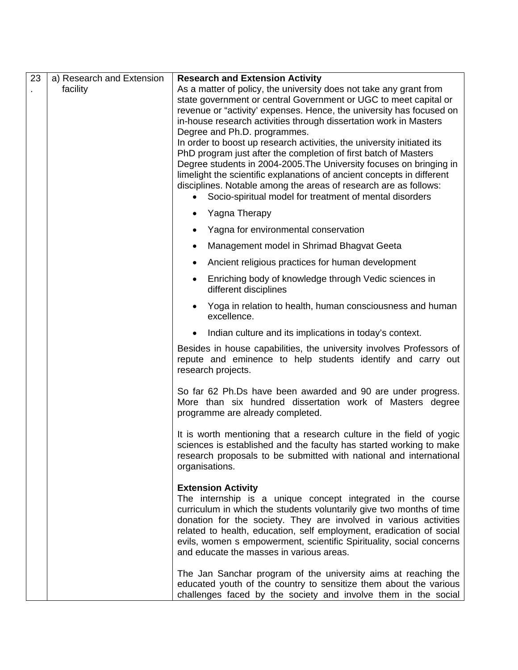| 23 | a) Research and Extension | <b>Research and Extension Activity</b>                                                                                                                                                                                                                                                                                                                                                                                                                                                                                                                                                                                                                                                                                                                        |
|----|---------------------------|---------------------------------------------------------------------------------------------------------------------------------------------------------------------------------------------------------------------------------------------------------------------------------------------------------------------------------------------------------------------------------------------------------------------------------------------------------------------------------------------------------------------------------------------------------------------------------------------------------------------------------------------------------------------------------------------------------------------------------------------------------------|
|    | facility                  | As a matter of policy, the university does not take any grant from<br>state government or central Government or UGC to meet capital or<br>revenue or "activity' expenses. Hence, the university has focused on<br>in-house research activities through dissertation work in Masters<br>Degree and Ph.D. programmes.<br>In order to boost up research activities, the university initiated its<br>PhD program just after the completion of first batch of Masters<br>Degree students in 2004-2005. The University focuses on bringing in<br>limelight the scientific explanations of ancient concepts in different<br>disciplines. Notable among the areas of research are as follows:<br>Socio-spiritual model for treatment of mental disorders<br>$\bullet$ |
|    |                           | Yagna Therapy<br>٠                                                                                                                                                                                                                                                                                                                                                                                                                                                                                                                                                                                                                                                                                                                                            |
|    |                           | Yagna for environmental conservation<br>٠                                                                                                                                                                                                                                                                                                                                                                                                                                                                                                                                                                                                                                                                                                                     |
|    |                           | Management model in Shrimad Bhagvat Geeta<br>٠                                                                                                                                                                                                                                                                                                                                                                                                                                                                                                                                                                                                                                                                                                                |
|    |                           | Ancient religious practices for human development<br>$\bullet$                                                                                                                                                                                                                                                                                                                                                                                                                                                                                                                                                                                                                                                                                                |
|    |                           | Enriching body of knowledge through Vedic sciences in<br>$\bullet$<br>different disciplines                                                                                                                                                                                                                                                                                                                                                                                                                                                                                                                                                                                                                                                                   |
|    |                           | Yoga in relation to health, human consciousness and human<br>$\bullet$<br>excellence.                                                                                                                                                                                                                                                                                                                                                                                                                                                                                                                                                                                                                                                                         |
|    |                           | Indian culture and its implications in today's context.                                                                                                                                                                                                                                                                                                                                                                                                                                                                                                                                                                                                                                                                                                       |
|    |                           | Besides in house capabilities, the university involves Professors of<br>repute and eminence to help students identify and carry out<br>research projects.                                                                                                                                                                                                                                                                                                                                                                                                                                                                                                                                                                                                     |
|    |                           | So far 62 Ph.Ds have been awarded and 90 are under progress.<br>More than six hundred dissertation work of Masters degree<br>programme are already completed.                                                                                                                                                                                                                                                                                                                                                                                                                                                                                                                                                                                                 |
|    |                           | It is worth mentioning that a research culture in the field of yogic<br>sciences is established and the faculty has started working to make<br>research proposals to be submitted with national and international<br>organisations.                                                                                                                                                                                                                                                                                                                                                                                                                                                                                                                           |
|    |                           | <b>Extension Activity</b><br>The internship is a unique concept integrated in the course<br>curriculum in which the students voluntarily give two months of time<br>donation for the society. They are involved in various activities<br>related to health, education, self employment, eradication of social<br>evils, women s empowerment, scientific Spirituality, social concerns<br>and educate the masses in various areas.                                                                                                                                                                                                                                                                                                                             |
|    |                           | The Jan Sanchar program of the university aims at reaching the<br>educated youth of the country to sensitize them about the various<br>challenges faced by the society and involve them in the social                                                                                                                                                                                                                                                                                                                                                                                                                                                                                                                                                         |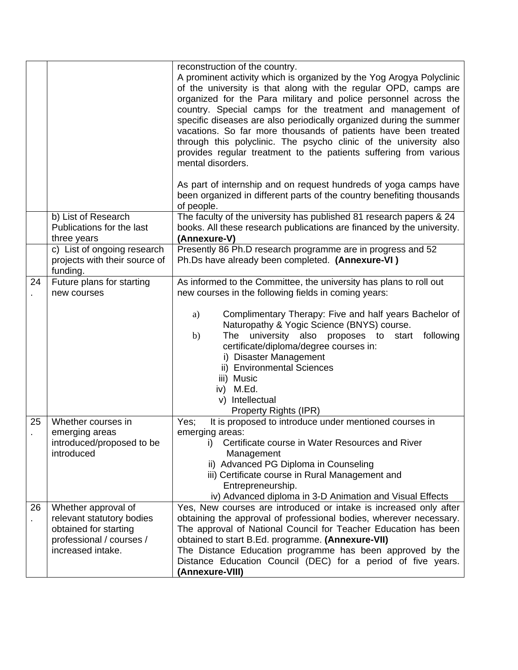|    |                                                                                                                            | reconstruction of the country.<br>A prominent activity which is organized by the Yog Arogya Polyclinic<br>of the university is that along with the regular OPD, camps are<br>organized for the Para military and police personnel across the<br>country. Special camps for the treatment and management of<br>specific diseases are also periodically organized during the summer<br>vacations. So far more thousands of patients have been treated<br>through this polyclinic. The psycho clinic of the university also<br>provides regular treatment to the patients suffering from various<br>mental disorders.<br>As part of internship and on request hundreds of yoga camps have |
|----|----------------------------------------------------------------------------------------------------------------------------|----------------------------------------------------------------------------------------------------------------------------------------------------------------------------------------------------------------------------------------------------------------------------------------------------------------------------------------------------------------------------------------------------------------------------------------------------------------------------------------------------------------------------------------------------------------------------------------------------------------------------------------------------------------------------------------|
|    |                                                                                                                            | been organized in different parts of the country benefiting thousands<br>of people.                                                                                                                                                                                                                                                                                                                                                                                                                                                                                                                                                                                                    |
|    | b) List of Research<br>Publications for the last<br>three years                                                            | The faculty of the university has published 81 research papers & 24<br>books. All these research publications are financed by the university.<br>(Annexure-V)                                                                                                                                                                                                                                                                                                                                                                                                                                                                                                                          |
|    | c) List of ongoing research<br>projects with their source of<br>funding.                                                   | Presently 86 Ph.D research programme are in progress and 52<br>Ph.Ds have already been completed. (Annexure-VI)                                                                                                                                                                                                                                                                                                                                                                                                                                                                                                                                                                        |
| 24 | Future plans for starting<br>new courses                                                                                   | As informed to the Committee, the university has plans to roll out<br>new courses in the following fields in coming years:                                                                                                                                                                                                                                                                                                                                                                                                                                                                                                                                                             |
|    |                                                                                                                            | Complimentary Therapy: Five and half years Bachelor of<br>a)<br>Naturopathy & Yogic Science (BNYS) course.<br>university also proposes to<br>following<br>The<br>start<br>b)<br>certificate/diploma/degree courses in:<br>i) Disaster Management<br>ii) Environmental Sciences<br>iii) Music<br>iv) M.Ed.<br>v) Intellectual<br>Property Rights (IPR)                                                                                                                                                                                                                                                                                                                                  |
| 25 | Whether courses in<br>emerging areas                                                                                       | It is proposed to introduce under mentioned courses in<br>Yes;<br>emerging areas:                                                                                                                                                                                                                                                                                                                                                                                                                                                                                                                                                                                                      |
|    | introduced/proposed to be                                                                                                  | Certificate course in Water Resources and River<br>i)                                                                                                                                                                                                                                                                                                                                                                                                                                                                                                                                                                                                                                  |
|    | introduced                                                                                                                 | Management<br>ii) Advanced PG Diploma in Counseling<br>iii) Certificate course in Rural Management and<br>Entrepreneurship.<br>iv) Advanced diploma in 3-D Animation and Visual Effects                                                                                                                                                                                                                                                                                                                                                                                                                                                                                                |
| 26 | Whether approval of<br>relevant statutory bodies<br>obtained for starting<br>professional / courses /<br>increased intake. | Yes, New courses are introduced or intake is increased only after<br>obtaining the approval of professional bodies, wherever necessary.<br>The approval of National Council for Teacher Education has been<br>obtained to start B.Ed. programme. (Annexure-VII)<br>The Distance Education programme has been approved by the<br>Distance Education Council (DEC) for a period of five years.<br>(Annexure-VIII)                                                                                                                                                                                                                                                                        |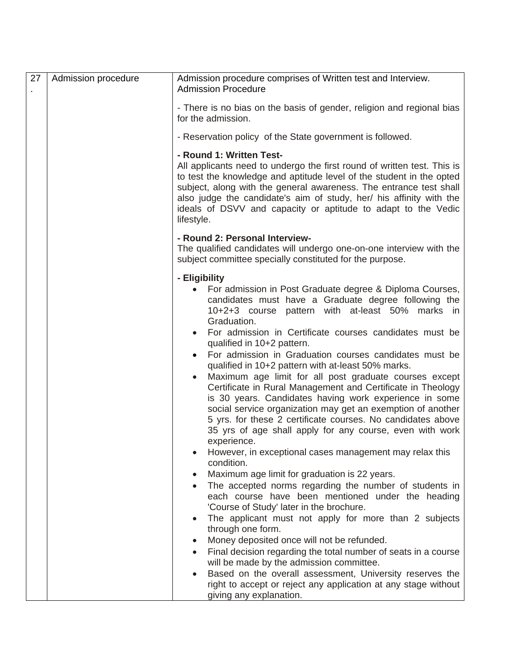| 27 | Admission procedure | Admission procedure comprises of Written test and Interview.<br><b>Admission Procedure</b>                                                                                                                                                                                                                                                                                                                                                                                                                                                                                                                                                                                                                                                                                                                                                                                                                                                                                                                                                                                                                                                                                                                                                                                                                                                                                                                                                                                                                                                                         |
|----|---------------------|--------------------------------------------------------------------------------------------------------------------------------------------------------------------------------------------------------------------------------------------------------------------------------------------------------------------------------------------------------------------------------------------------------------------------------------------------------------------------------------------------------------------------------------------------------------------------------------------------------------------------------------------------------------------------------------------------------------------------------------------------------------------------------------------------------------------------------------------------------------------------------------------------------------------------------------------------------------------------------------------------------------------------------------------------------------------------------------------------------------------------------------------------------------------------------------------------------------------------------------------------------------------------------------------------------------------------------------------------------------------------------------------------------------------------------------------------------------------------------------------------------------------------------------------------------------------|
|    |                     | - There is no bias on the basis of gender, religion and regional bias<br>for the admission.                                                                                                                                                                                                                                                                                                                                                                                                                                                                                                                                                                                                                                                                                                                                                                                                                                                                                                                                                                                                                                                                                                                                                                                                                                                                                                                                                                                                                                                                        |
|    |                     | - Reservation policy of the State government is followed.                                                                                                                                                                                                                                                                                                                                                                                                                                                                                                                                                                                                                                                                                                                                                                                                                                                                                                                                                                                                                                                                                                                                                                                                                                                                                                                                                                                                                                                                                                          |
|    |                     | - Round 1: Written Test-<br>All applicants need to undergo the first round of written test. This is<br>to test the knowledge and aptitude level of the student in the opted<br>subject, along with the general awareness. The entrance test shall<br>also judge the candidate's aim of study, her/ his affinity with the<br>ideals of DSVV and capacity or aptitude to adapt to the Vedic<br>lifestyle.                                                                                                                                                                                                                                                                                                                                                                                                                                                                                                                                                                                                                                                                                                                                                                                                                                                                                                                                                                                                                                                                                                                                                            |
|    |                     | - Round 2: Personal Interview-<br>The qualified candidates will undergo one-on-one interview with the<br>subject committee specially constituted for the purpose.                                                                                                                                                                                                                                                                                                                                                                                                                                                                                                                                                                                                                                                                                                                                                                                                                                                                                                                                                                                                                                                                                                                                                                                                                                                                                                                                                                                                  |
|    |                     | - Eligibility<br>For admission in Post Graduate degree & Diploma Courses,<br>candidates must have a Graduate degree following the<br>10+2+3 course pattern with at-least 50% marks in<br>Graduation.<br>For admission in Certificate courses candidates must be<br>qualified in 10+2 pattern.<br>For admission in Graduation courses candidates must be<br>qualified in 10+2 pattern with at-least 50% marks.<br>Maximum age limit for all post graduate courses except<br>$\bullet$<br>Certificate in Rural Management and Certificate in Theology<br>is 30 years. Candidates having work experience in some<br>social service organization may get an exemption of another<br>5 yrs. for these 2 certificate courses. No candidates above<br>35 yrs of age shall apply for any course, even with work<br>experience.<br>However, in exceptional cases management may relax this<br>condition.<br>Maximum age limit for graduation is 22 years.<br>$\bullet$<br>The accepted norms regarding the number of students in<br>$\bullet$<br>each course have been mentioned under the heading<br>'Course of Study' later in the brochure.<br>The applicant must not apply for more than 2 subjects<br>$\bullet$<br>through one form.<br>Money deposited once will not be refunded.<br>Final decision regarding the total number of seats in a course<br>$\bullet$<br>will be made by the admission committee.<br>Based on the overall assessment, University reserves the<br>right to accept or reject any application at any stage without<br>giving any explanation. |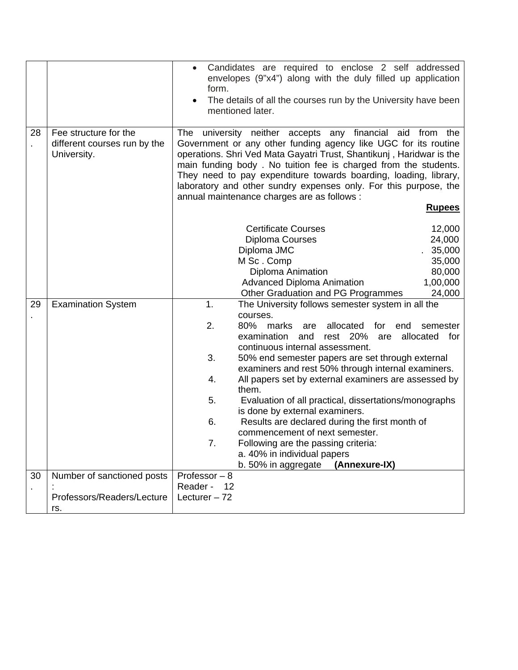|    |                                                                      | Candidates are required to enclose 2 self addressed<br>$\bullet$<br>envelopes (9"x4") along with the duly filled up application<br>form.<br>The details of all the courses run by the University have been<br>mentioned later.                                                                                                                                                                                                                                                                                                                                                                                                                                                                                                                |
|----|----------------------------------------------------------------------|-----------------------------------------------------------------------------------------------------------------------------------------------------------------------------------------------------------------------------------------------------------------------------------------------------------------------------------------------------------------------------------------------------------------------------------------------------------------------------------------------------------------------------------------------------------------------------------------------------------------------------------------------------------------------------------------------------------------------------------------------|
| 28 | Fee structure for the<br>different courses run by the<br>University. | The university neither accepts any financial aid from the<br>Government or any other funding agency like UGC for its routine<br>operations. Shri Ved Mata Gayatri Trust, Shantikunj, Haridwar is the<br>main funding body. No tuition fee is charged from the students.<br>They need to pay expenditure towards boarding, loading, library,<br>laboratory and other sundry expenses only. For this purpose, the<br>annual maintenance charges are as follows :<br><b>Rupees</b>                                                                                                                                                                                                                                                               |
|    |                                                                      | <b>Certificate Courses</b><br>12,000<br>Diploma Courses<br>24,000<br>Diploma JMC<br>35,000<br>M Sc. Comp<br>35,000<br>Diploma Animation<br>80,000<br><b>Advanced Diploma Animation</b><br>1,00,000<br>Other Graduation and PG Programmes<br>24,000                                                                                                                                                                                                                                                                                                                                                                                                                                                                                            |
| 29 | <b>Examination System</b>                                            | 1.<br>The University follows semester system in all the<br>courses.<br>2.<br>80%<br>allocated<br>marks<br>for<br>end<br>semester<br>are<br>examination<br>rest 20%<br>and<br>allocated<br>are<br>for<br>continuous internal assessment.<br>3.<br>50% end semester papers are set through external<br>examiners and rest 50% through internal examiners.<br>All papers set by external examiners are assessed by<br>4.<br>them.<br>5.<br>Evaluation of all practical, dissertations/monographs<br>is done by external examiners.<br>6.<br>Results are declared during the first month of<br>commencement of next semester.<br>7.<br>Following are the passing criteria:<br>a. 40% in individual papers<br>(Annexure-IX)<br>b. 50% in aggregate |
| 30 | Number of sanctioned posts<br>Professors/Readers/Lecture             | Professor $-8$<br>Reader -<br>12<br>Lecturer $-72$                                                                                                                                                                                                                                                                                                                                                                                                                                                                                                                                                                                                                                                                                            |
|    | rs.                                                                  |                                                                                                                                                                                                                                                                                                                                                                                                                                                                                                                                                                                                                                                                                                                                               |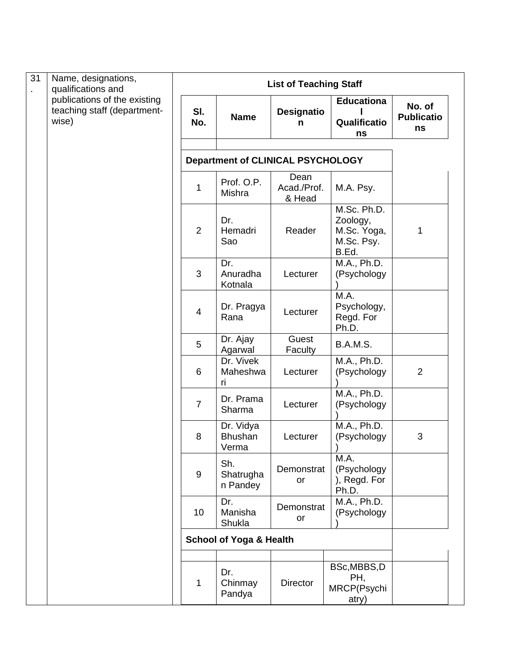| 31 | Name, designations,<br>qualifications and                            | <b>List of Teaching Staff</b> |                                          |                               |                                                               |                                   |  |  |
|----|----------------------------------------------------------------------|-------------------------------|------------------------------------------|-------------------------------|---------------------------------------------------------------|-----------------------------------|--|--|
|    | publications of the existing<br>teaching staff (department-<br>wise) | SI.<br>No.                    | <b>Name</b>                              | <b>Designatio</b><br>n        | <b>Educationa</b><br>Qualificatio<br>ns                       | No. of<br><b>Publicatio</b><br>ns |  |  |
|    |                                                                      |                               | <b>Department of CLINICAL PSYCHOLOGY</b> |                               |                                                               |                                   |  |  |
|    |                                                                      | 1                             | Prof. O.P.<br>Mishra                     | Dean<br>Acad./Prof.<br>& Head | M.A. Psy.                                                     |                                   |  |  |
|    |                                                                      | $\overline{2}$                | Dr.<br>Hemadri<br>Sao                    | Reader                        | M.Sc. Ph.D.<br>Zoology,<br>M.Sc. Yoga,<br>M.Sc. Psy.<br>B.Ed. | 1                                 |  |  |
|    |                                                                      | 3                             | Dr.<br>Anuradha<br>Kotnala               | Lecturer                      | M.A., Ph.D.<br>(Psychology                                    |                                   |  |  |
|    |                                                                      | $\overline{4}$                | Dr. Pragya<br>Rana                       | Lecturer                      | M.A.<br>Psychology,<br>Regd. For<br>Ph.D.                     |                                   |  |  |
|    |                                                                      | 5                             | Dr. Ajay<br>Agarwal                      | Guest<br>Faculty              | B.A.M.S.                                                      |                                   |  |  |
|    |                                                                      | 6                             | Dr. Vivek<br>Maheshwa<br>ri              | Lecturer                      | M.A., Ph.D.<br>(Psychology                                    | $\overline{2}$                    |  |  |
|    |                                                                      | $\overline{7}$                | Dr. Prama<br>Sharma                      | Lecturer                      | M.A., Ph.D.<br>(Psychology                                    |                                   |  |  |
|    |                                                                      | 8                             | Dr. Vidya<br><b>Bhushan</b><br>Verma     | Lecturer                      | M.A., Ph.D.<br>(Psychology                                    | 3                                 |  |  |
|    |                                                                      | $\boldsymbol{9}$              | Sh.<br>Shatrugha<br>n Pandey             | Demonstrat<br>or              | M.A.<br>(Psychology<br>), Regd. For<br>Ph.D.                  |                                   |  |  |
|    |                                                                      | 10                            | Dr.<br>Manisha<br>Shukla                 | Demonstrat<br>or              | M.A., Ph.D.<br>(Psychology                                    |                                   |  |  |
|    |                                                                      |                               | <b>School of Yoga &amp; Health</b>       |                               |                                                               |                                   |  |  |
|    |                                                                      | 1                             | Dr.<br>Chinmay<br>Pandya                 | <b>Director</b>               | BSc, MBBS, D<br>PH,<br>MRCP(Psychi<br>atry)                   |                                   |  |  |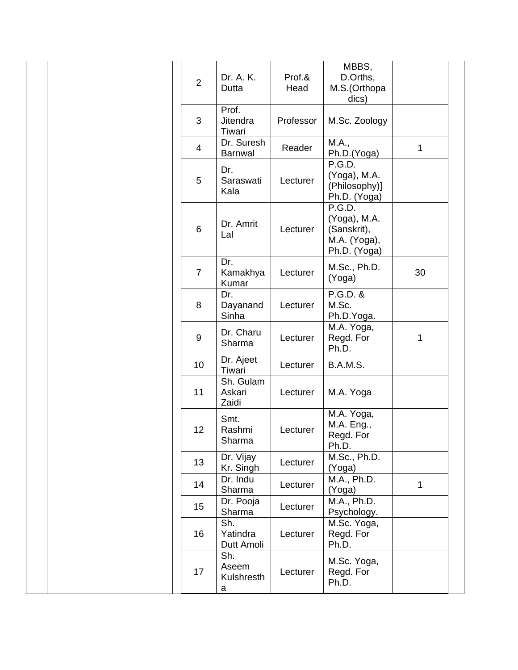| $\overline{2}$   | Dr. A. K.<br>Dutta              | Prof.&<br>Head | MBBS,<br>D.Orths,<br>M.S.(Orthopa<br>dics)                            |              |
|------------------|---------------------------------|----------------|-----------------------------------------------------------------------|--------------|
| 3                | Prof.<br>Jitendra<br>Tiwari     | Professor      | M.Sc. Zoology                                                         |              |
| $\overline{4}$   | Dr. Suresh<br><b>Barnwal</b>    | Reader         | M.A.,<br>Ph.D.(Yoga)                                                  | 1            |
| 5                | Dr.<br>Saraswati<br>Kala        | Lecturer       | P.G.D.<br>(Yoga), M.A.<br>(Philosophy)]<br>Ph.D. (Yoga)               |              |
| $\,6\,$          | Dr. Amrit<br>Lal                | Lecturer       | P.G.D.<br>(Yoga), M.A.<br>(Sanskrit),<br>M.A. (Yoga),<br>Ph.D. (Yoga) |              |
| $\overline{7}$   | Dr.<br>Kamakhya<br>Kumar        | Lecturer       | M.Sc., Ph.D.<br>(Yoga)                                                | 30           |
| 8                | Dr.<br>Dayanand<br>Sinha        | Lecturer       | P.G.D. &<br>M.Sc.<br>Ph.D.Yoga.                                       |              |
| $\boldsymbol{9}$ | Dr. Charu<br>Sharma             | Lecturer       | M.A. Yoga,<br>Regd. For<br>Ph.D.                                      | 1            |
| 10               | Dr. Ajeet<br>Tiwari             | Lecturer       | B.A.M.S.                                                              |              |
| 11               | Sh. Gulam<br>Askari<br>Zaidi    | Lecturer       | M.A. Yoga                                                             |              |
| 12               | Smt.<br>Rashmi<br>Sharma        | Lecturer       | M.A. Yoga,<br>M.A. Eng.,<br>Regd. For<br>Ph.D.                        |              |
| 13               | Dr. Vijay<br>Kr. Singh          | Lecturer       | M.Sc., Ph.D.<br>(Yoga)                                                |              |
| 14               | Dr. Indu<br>Sharma              | Lecturer       | M.A., Ph.D.<br>(Yoga)                                                 | $\mathbf{1}$ |
| 15               | Dr. Pooja<br>Sharma             | Lecturer       | M.A., Ph.D.<br>Psychology.                                            |              |
| 16               | Sh.<br>Yatindra<br>Dutt Amoli   | Lecturer       | M.Sc. Yoga,<br>Regd. For<br>Ph.D.                                     |              |
| 17               | Sh.<br>Aseem<br>Kulshresth<br>a | Lecturer       | M.Sc. Yoga,<br>Regd. For<br>Ph.D.                                     |              |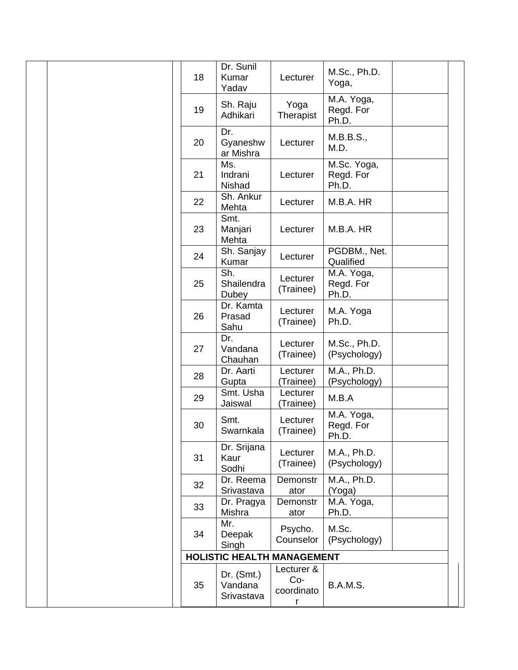|  | 18 | Dr. Sunil<br>Kumar<br>Yadav           | Lecturer                             | M.Sc., Ph.D.<br>Yoga,             |  |
|--|----|---------------------------------------|--------------------------------------|-----------------------------------|--|
|  | 19 | Sh. Raju<br>Adhikari                  | Yoga<br>Therapist                    | M.A. Yoga,<br>Regd. For<br>Ph.D.  |  |
|  | 20 | Dr.<br>Gyaneshw<br>ar Mishra          | Lecturer                             | M.B.B.S.,<br>M.D.                 |  |
|  | 21 | Ms.<br>Indrani<br>Nishad              | Lecturer                             | M.Sc. Yoga,<br>Regd. For<br>Ph.D. |  |
|  | 22 | Sh. Ankur<br>Mehta                    | Lecturer                             | M.B.A. HR                         |  |
|  | 23 | Smt.<br>Manjari<br>Mehta              | Lecturer                             | M.B.A. HR                         |  |
|  | 24 | Sh. Sanjay<br>Kumar                   | Lecturer                             | PGDBM., Net.<br>Qualified         |  |
|  | 25 | Sh.<br>Shailendra<br>Dubey            | Lecturer<br>(Trainee)                | M.A. Yoga,<br>Regd. For<br>Ph.D.  |  |
|  | 26 | Dr. Kamta<br>Prasad<br>Sahu           | Lecturer<br>(Trainee)                | M.A. Yoga<br>Ph.D.                |  |
|  | 27 | Dr.<br>Vandana<br>Chauhan             | Lecturer<br>(Trainee)                | M.Sc., Ph.D.<br>(Psychology)      |  |
|  | 28 | Dr. Aarti<br>Gupta                    | Lecturer<br>(Trainee)                | M.A., Ph.D.<br>(Psychology)       |  |
|  | 29 | Smt. Usha<br>Jaiswal                  | Lecturer<br>(Trainee)                | M.B.A                             |  |
|  | 30 | Smt.<br>Swarnkala                     | Lecturer<br>(Trainee)                | M.A. Yoga,<br>Regd. For<br>Ph.D.  |  |
|  | 31 | Dr. Srijana<br>Kaur<br>Sodhi          | Lecturer<br>(Trainee)                | M.A., Ph.D.<br>(Psychology)       |  |
|  | 32 | Dr. Reema<br>Srivastava               | Demonstr<br>ator                     | M.A., Ph.D.<br>(Yoga)             |  |
|  | 33 | Dr. Pragya<br>Mishra                  | Demonstr<br>ator                     | M.A. Yoga,<br>Ph.D.               |  |
|  | 34 | Mr.<br>Deepak<br>Singh                | Psycho.<br>Counselor                 | M.Sc.<br>(Psychology)             |  |
|  |    | <b>HOLISTIC HEALTH MANAGEMENT</b>     |                                      |                                   |  |
|  | 35 | Dr. $(Smt.)$<br>Vandana<br>Srivastava | Lecturer &<br>Co-<br>coordinato<br>r | B.A.M.S.                          |  |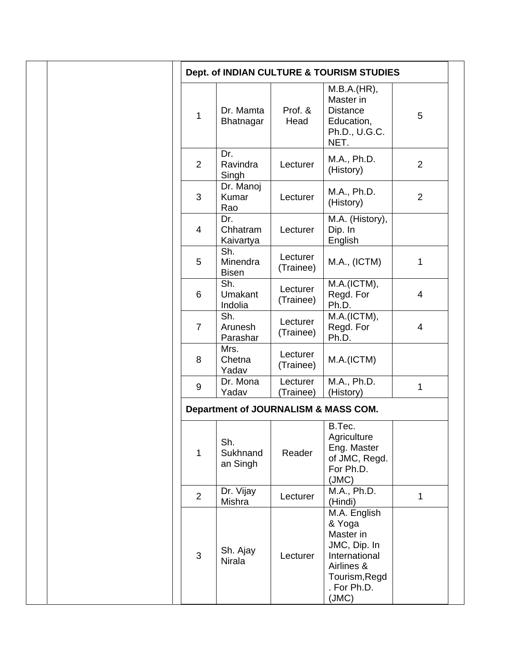|                  |                                 |                       | Dept. of INDIAN CULTURE & TOURISM STUDIES                                                                          |                |
|------------------|---------------------------------|-----------------------|--------------------------------------------------------------------------------------------------------------------|----------------|
| $\mathbf{1}$     | Dr. Mamta<br>Bhatnagar          | Prof. &<br>Head       | M.B.A.(HR),<br>Master in<br><b>Distance</b><br>Education,<br>Ph.D., U.G.C.<br>NET.                                 | 5              |
| $\overline{2}$   | Dr.<br>Ravindra<br>Singh        | Lecturer              | M.A., Ph.D.<br>(History)                                                                                           | $\overline{2}$ |
| 3                | Dr. Manoj<br>Kumar<br>Rao       | Lecturer              | M.A., Ph.D.<br>(History)                                                                                           | $\overline{2}$ |
| $\overline{4}$   | Dr.<br>Chhatram<br>Kaivartya    | Lecturer              | M.A. (History),<br>Dip. In<br>English                                                                              |                |
| 5                | Sh.<br>Minendra<br><b>Bisen</b> | Lecturer<br>(Trainee) | M.A., (ICTM)                                                                                                       | 1              |
| $6\phantom{1}$   | Sh.<br>Umakant<br>Indolia       | Lecturer<br>(Trainee) | M.A.(ICTM),<br>Regd. For<br>Ph.D.                                                                                  | 4              |
| $\overline{7}$   | Sh.<br>Arunesh<br>Parashar      | Lecturer<br>(Trainee) | M.A.(ICTM),<br>Regd. For<br>Ph.D.                                                                                  | $\overline{4}$ |
| 8                | Mrs.<br>Chetna<br>Yadav         | Lecturer<br>(Trainee) | M.A.(ICTM)                                                                                                         |                |
| $\boldsymbol{9}$ | Dr. Mona<br>Yadav               | Lecturer<br>(Trainee) | M.A., Ph.D.<br>(History)                                                                                           | 1              |
|                  |                                 |                       | Department of JOURNALISM & MASS COM.                                                                               |                |
| $\mathbf{1}$     | Sh.<br>Sukhnand<br>an Singh     | Reader                | B.Tec.<br>Agriculture<br>Eng. Master<br>of JMC, Regd.<br>For Ph.D.<br>(MC)                                         |                |
| $\overline{2}$   | Dr. Vijay<br>Mishra             | Lecturer              | M.A., Ph.D.<br>(Hindi)                                                                                             | $\mathbf{1}$   |
| 3                | Sh. Ajay<br>Nirala              | Lecturer              | M.A. English<br>& Yoga<br>Master in<br>JMC, Dip. In<br>International<br>Airlines &<br>Tourism, Regd<br>. For Ph.D. |                |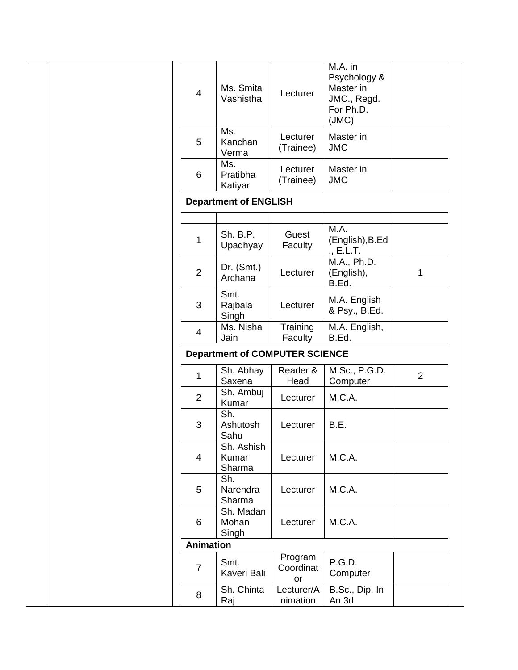| $\overline{4}$   | Ms. Smita<br>Vashistha                | Lecturer                   | M.A. in<br>Psychology &<br>Master in<br>JMC., Regd.<br>For Ph.D.<br>(JMC) |                |
|------------------|---------------------------------------|----------------------------|---------------------------------------------------------------------------|----------------|
| 5                | Ms.<br>Kanchan<br>Verma               | Lecturer<br>(Trainee)      | Master in<br><b>JMC</b>                                                   |                |
| 6                | Ms.<br>Pratibha<br>Katiyar            | Lecturer<br>(Trainee)      | Master in<br><b>JMC</b>                                                   |                |
|                  | <b>Department of ENGLISH</b>          |                            |                                                                           |                |
|                  |                                       |                            |                                                                           |                |
| $\mathbf{1}$     | Sh. B.P.<br>Upadhyay                  | Guest<br>Faculty           | M.A.<br>(English), B.Ed<br>., E.L.T.                                      |                |
| $\overline{2}$   | Dr. (Smt.)<br>Archana                 | Lecturer                   | M.A., Ph.D.<br>(English),<br>B.Ed.                                        | 1              |
| 3                | Smt.<br>Rajbala<br>Singh              | Lecturer                   | M.A. English<br>& Psy., B.Ed.                                             |                |
| $\overline{4}$   | Ms. Nisha<br>Jain                     | Training<br>Faculty        | M.A. English,<br>B.Ed.                                                    |                |
|                  | <b>Department of COMPUTER SCIENCE</b> |                            |                                                                           |                |
| $\mathbf{1}$     | Sh. Abhay<br>Saxena                   | Reader &<br>Head           | M.Sc., P.G.D.<br>Computer                                                 | $\overline{2}$ |
| $\overline{2}$   | Sh. Ambuj<br>Kumar                    | Lecturer                   | M.C.A.                                                                    |                |
| 3                | Sh.<br>Ashutosh<br>Sahu               | Lecturer                   | B.E.                                                                      |                |
| 4                | Sh. Ashish<br>Kumar<br>Sharma         | Lecturer                   | M.C.A.                                                                    |                |
| 5                | Sh.<br>Narendra<br>Sharma             | Lecturer                   | M.C.A.                                                                    |                |
| 6                | Sh. Madan<br>Mohan<br>Singh           | Lecturer                   | M.C.A.                                                                    |                |
| <b>Animation</b> |                                       |                            |                                                                           |                |
| $\overline{7}$   | Smt.<br>Kaveri Bali                   | Program<br>Coordinat<br>or | P.G.D.<br>Computer                                                        |                |
| 8                | Sh. Chinta<br>Raj                     | Lecturer/A<br>nimation     | B.Sc., Dip. In<br>An 3d                                                   |                |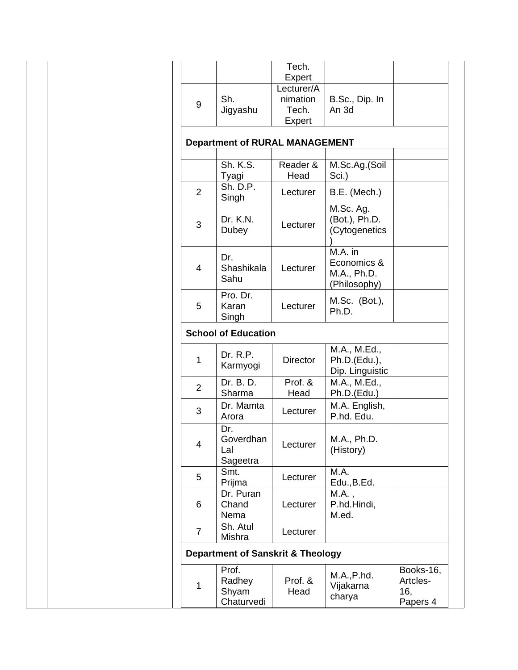| Tech.<br>Expert<br>Lecturer/A<br>nimation<br>B.Sc., Dip. In<br>Jigyashu<br>An 3d<br>Tech.<br>Expert<br><b>Department of RURAL MANAGEMENT</b><br>Sh. K.S.<br>Reader &<br>M.Sc.Ag.(Soil<br>Head<br>Sci.)<br>Sh. D.P.<br>B.E. (Mech.)<br>Lecturer<br>M.Sc. Ag.<br>(Bot.), Ph.D.<br>Dr. K.N. | Sh.<br>Tyagi<br>Singh |
|------------------------------------------------------------------------------------------------------------------------------------------------------------------------------------------------------------------------------------------------------------------------------------------|-----------------------|
|                                                                                                                                                                                                                                                                                          |                       |
|                                                                                                                                                                                                                                                                                          |                       |
|                                                                                                                                                                                                                                                                                          |                       |
|                                                                                                                                                                                                                                                                                          |                       |
|                                                                                                                                                                                                                                                                                          |                       |
|                                                                                                                                                                                                                                                                                          |                       |
|                                                                                                                                                                                                                                                                                          |                       |
|                                                                                                                                                                                                                                                                                          |                       |
|                                                                                                                                                                                                                                                                                          |                       |
|                                                                                                                                                                                                                                                                                          |                       |
|                                                                                                                                                                                                                                                                                          |                       |
|                                                                                                                                                                                                                                                                                          |                       |
| Lecturer<br>(Cytogenetics                                                                                                                                                                                                                                                                | Dubey                 |
|                                                                                                                                                                                                                                                                                          |                       |
| M.A. in                                                                                                                                                                                                                                                                                  |                       |
| Economics &                                                                                                                                                                                                                                                                              | Dr.                   |
| Shashikala<br>Lecturer<br>M.A., Ph.D.                                                                                                                                                                                                                                                    |                       |
| (Philosophy)                                                                                                                                                                                                                                                                             | Sahu                  |
| Pro. Dr.                                                                                                                                                                                                                                                                                 |                       |
| M.Sc. (Bot.),<br>Lecturer                                                                                                                                                                                                                                                                | Karan                 |
| Ph.D.                                                                                                                                                                                                                                                                                    | Singh                 |
| <b>School of Education</b>                                                                                                                                                                                                                                                               |                       |
| M.A., M.Ed.,                                                                                                                                                                                                                                                                             |                       |
| Dr. R.P.                                                                                                                                                                                                                                                                                 |                       |
| <b>Director</b><br>Ph.D.(Edu.),<br>Karmyogi                                                                                                                                                                                                                                              |                       |
| Dip. Linguistic                                                                                                                                                                                                                                                                          |                       |
| Prof. &<br>Dr. B. D.<br>M.A., M.Ed.,                                                                                                                                                                                                                                                     |                       |
| Sharma<br>Head<br>Ph.D.(Edu.)                                                                                                                                                                                                                                                            |                       |
| M.A. English,<br>Dr. Mamta<br>Lecturer                                                                                                                                                                                                                                                   |                       |
| P.hd. Edu.                                                                                                                                                                                                                                                                               | Arora                 |
|                                                                                                                                                                                                                                                                                          | Dr.                   |
| Goverdhan<br>M.A., Ph.D.<br>Lecturer                                                                                                                                                                                                                                                     |                       |
|                                                                                                                                                                                                                                                                                          |                       |
| (History)                                                                                                                                                                                                                                                                                | Lal                   |
| Sageetra                                                                                                                                                                                                                                                                                 |                       |
| M.A.                                                                                                                                                                                                                                                                                     | Smt.                  |
| Lecturer<br>Edu., B.Ed.                                                                                                                                                                                                                                                                  | Prijma                |
| Dr. Puran<br>M.A.,                                                                                                                                                                                                                                                                       |                       |
| P.hd.Hindi,<br>Lecturer                                                                                                                                                                                                                                                                  | Chand                 |
| M.ed.                                                                                                                                                                                                                                                                                    | Nema                  |
| Sh. Atul                                                                                                                                                                                                                                                                                 |                       |
| Lecturer                                                                                                                                                                                                                                                                                 | Mishra                |
| <b>Department of Sanskrit &amp; Theology</b>                                                                                                                                                                                                                                             |                       |
|                                                                                                                                                                                                                                                                                          |                       |
| Books-16,<br>M.A., P.h.d.                                                                                                                                                                                                                                                                | Prof.                 |
| Prof. &<br>Radhey<br>Artcles-<br>Vijakarna<br>16,<br>Head<br>charya                                                                                                                                                                                                                      | Shyam                 |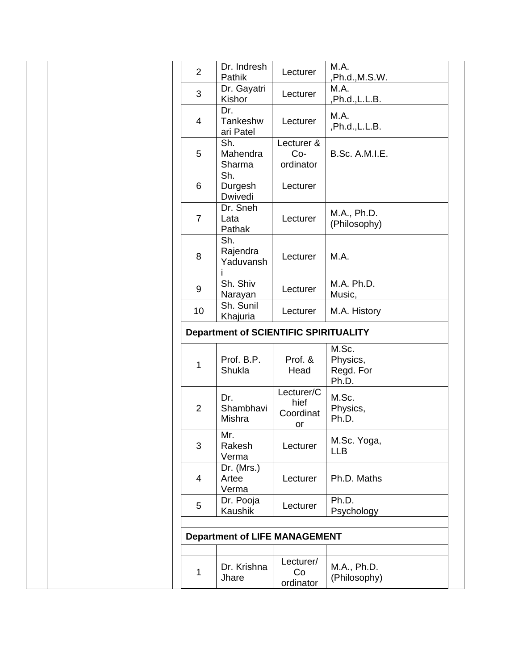| $\overline{2}$ | Dr. Indresh<br>Pathik                        | Lecturer                              | M.A.<br>,Ph.d., M.S.W.                  |  |
|----------------|----------------------------------------------|---------------------------------------|-----------------------------------------|--|
| 3              | Dr. Gayatri<br>Kishor                        | Lecturer                              | M.A.<br>,Ph.d.,L.L.B.                   |  |
| 4              | Dr.<br>Tankeshw<br>ari Patel                 | Lecturer                              | M.A.<br>,Ph.d., L.L.B.                  |  |
| 5              | Sh.<br>Mahendra<br>Sharma                    | Lecturer &<br>$Co-$<br>ordinator      | B.Sc. A.M.I.E.                          |  |
| 6              | Sh.<br>Durgesh<br>Dwivedi                    | Lecturer                              |                                         |  |
| $\overline{7}$ | Dr. Sneh<br>Lata<br>Pathak                   | Lecturer                              | M.A., Ph.D.<br>(Philosophy)             |  |
| 8              | Sh.<br>Rajendra<br>Yaduvansh                 | Lecturer                              | M.A.                                    |  |
| 9              | Sh. Shiv<br>Narayan                          | Lecturer                              | M.A. Ph.D.<br>Music,                    |  |
| 10             | Sh. Sunil<br>Khajuria                        | Lecturer                              | M.A. History                            |  |
|                | <b>Department of SCIENTIFIC SPIRITUALITY</b> |                                       |                                         |  |
| 1              | Prof. B.P.<br>Shukla                         | Prof. &<br>Head                       | M.Sc.<br>Physics,<br>Regd. For<br>Ph.D. |  |
| $\overline{2}$ | Dr.<br>Shambhavi<br>Mishra                   | Lecturer/C<br>hief<br>Coordinat<br>or | M.Sc.<br>Physics,<br>Ph.D.              |  |
| 3              | Mr.<br>Rakesh<br>Verma                       | Lecturer                              | M.Sc. Yoga,<br><b>LLB</b>               |  |
| $\overline{4}$ | Dr. (Mrs.)<br>Artee<br>Verma                 | Lecturer                              | Ph.D. Maths                             |  |
| 5              | Dr. Pooja<br>Kaushik                         | Lecturer                              | Ph.D.<br>Psychology                     |  |
|                |                                              |                                       |                                         |  |
|                | <b>Department of LIFE MANAGEMENT</b>         |                                       |                                         |  |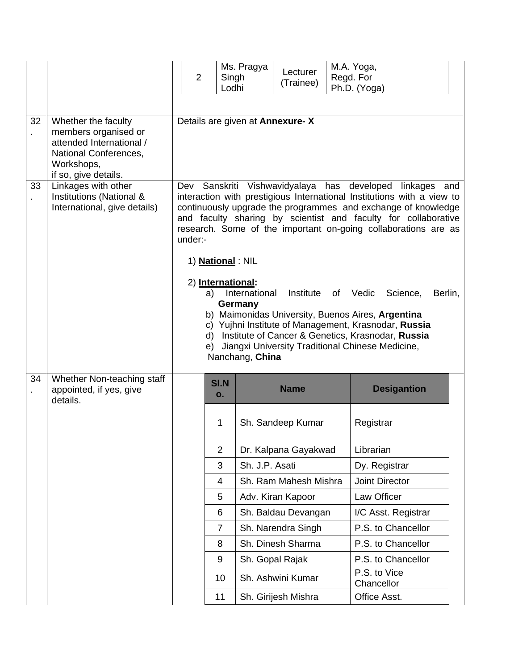|    |                                                                                                                                        |                                                                                                                                                                                                                                                                                                                                                 | $\overline{2}$                                                                                    | Singh<br>Lodhi    | Ms. Pragya     | Lecturer<br>(Trainee) | M.A. Yoga,<br>Regd. For<br>Ph.D. (Yoga) |                     |  |  |
|----|----------------------------------------------------------------------------------------------------------------------------------------|-------------------------------------------------------------------------------------------------------------------------------------------------------------------------------------------------------------------------------------------------------------------------------------------------------------------------------------------------|---------------------------------------------------------------------------------------------------|-------------------|----------------|-----------------------|-----------------------------------------|---------------------|--|--|
| 32 | Whether the faculty<br>members organised or<br>attended International /<br>National Conferences,<br>Workshops,<br>if so, give details. |                                                                                                                                                                                                                                                                                                                                                 | Details are given at Annexure-X<br>Sanskriti Vishwavidyalaya has developed<br>linkages and<br>Dev |                   |                |                       |                                         |                     |  |  |
| 33 | Linkages with other<br>Institutions (National &<br>International, give details)                                                        | interaction with prestigious International Institutions with a view to<br>continuously upgrade the programmes and exchange of knowledge<br>and faculty sharing by scientist and faculty for collaborative<br>research. Some of the important on-going collaborations are as<br>under:-<br>1) <b>National</b> : NIL                              |                                                                                                   |                   |                |                       |                                         |                     |  |  |
|    |                                                                                                                                        | 2) International:<br>International<br>Institute of Vedic<br>Science,<br>Berlin,<br>a)<br>Germany<br>b) Maimonidas University, Buenos Aires, Argentina<br>c) Yujhni Institute of Management, Krasnodar, Russia<br>d) Institute of Cancer & Genetics, Krasnodar, Russia<br>e) Jiangxi University Traditional Chinese Medicine,<br>Nanchang, China |                                                                                                   |                   |                |                       |                                         |                     |  |  |
| 34 | Whether Non-teaching staff<br>appointed, if yes, give<br>details.                                                                      |                                                                                                                                                                                                                                                                                                                                                 |                                                                                                   | <b>SI.N</b><br>0. |                | <b>Name</b>           |                                         | <b>Desigantion</b>  |  |  |
|    |                                                                                                                                        |                                                                                                                                                                                                                                                                                                                                                 |                                                                                                   | 1                 |                | Sh. Sandeep Kumar     | Registrar                               |                     |  |  |
|    |                                                                                                                                        |                                                                                                                                                                                                                                                                                                                                                 |                                                                                                   | 2                 |                | Dr. Kalpana Gayakwad  | Librarian                               |                     |  |  |
|    |                                                                                                                                        |                                                                                                                                                                                                                                                                                                                                                 |                                                                                                   | 3                 | Sh. J.P. Asati |                       | Dy. Registrar                           |                     |  |  |
|    |                                                                                                                                        |                                                                                                                                                                                                                                                                                                                                                 |                                                                                                   | 4                 |                | Sh. Ram Mahesh Mishra | <b>Joint Director</b>                   |                     |  |  |
|    |                                                                                                                                        |                                                                                                                                                                                                                                                                                                                                                 |                                                                                                   | 5                 |                | Adv. Kiran Kapoor     | Law Officer                             |                     |  |  |
|    |                                                                                                                                        |                                                                                                                                                                                                                                                                                                                                                 |                                                                                                   | 6                 |                | Sh. Baldau Devangan   |                                         | I/C Asst. Registrar |  |  |
|    |                                                                                                                                        |                                                                                                                                                                                                                                                                                                                                                 |                                                                                                   | $\overline{7}$    |                | Sh. Narendra Singh    | P.S. to Chancellor                      |                     |  |  |
|    |                                                                                                                                        |                                                                                                                                                                                                                                                                                                                                                 |                                                                                                   | 8                 |                | Sh. Dinesh Sharma     | P.S. to Chancellor                      |                     |  |  |
|    |                                                                                                                                        |                                                                                                                                                                                                                                                                                                                                                 |                                                                                                   | 9                 |                | Sh. Gopal Rajak       | P.S. to Chancellor<br>P.S. to Vice      |                     |  |  |
|    |                                                                                                                                        |                                                                                                                                                                                                                                                                                                                                                 |                                                                                                   | 10                |                | Sh. Ashwini Kumar     | Chancellor                              |                     |  |  |
|    |                                                                                                                                        |                                                                                                                                                                                                                                                                                                                                                 |                                                                                                   | 11                |                | Sh. Girijesh Mishra   | Office Asst.                            |                     |  |  |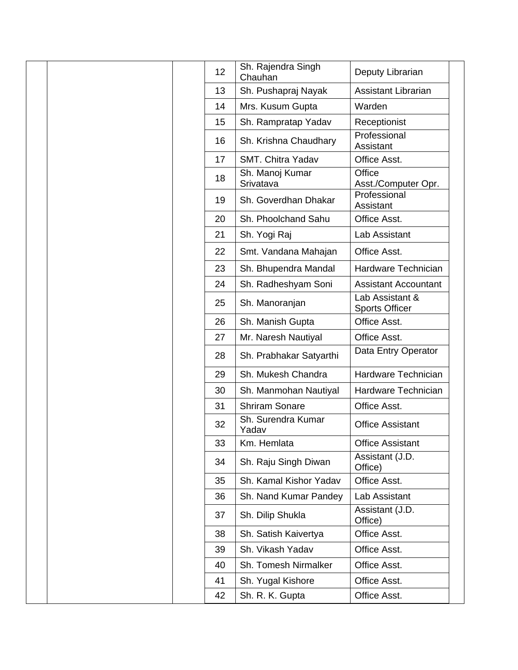| 12 | Sh. Rajendra Singh<br>Chauhan | Deputy Librarian                         |
|----|-------------------------------|------------------------------------------|
| 13 | Sh. Pushapraj Nayak           | <b>Assistant Librarian</b>               |
| 14 | Mrs. Kusum Gupta              | Warden                                   |
| 15 | Sh. Rampratap Yadav           | Receptionist                             |
| 16 | Sh. Krishna Chaudhary         | Professional<br>Assistant                |
| 17 | SMT. Chitra Yadav             | Office Asst.                             |
| 18 | Sh. Manoj Kumar<br>Srivatava  | Office<br>Asst./Computer Opr.            |
| 19 | Sh. Goverdhan Dhakar          | Professional<br>Assistant                |
| 20 | Sh. Phoolchand Sahu           | Office Asst.                             |
| 21 | Sh. Yogi Raj                  | Lab Assistant                            |
| 22 | Smt. Vandana Mahajan          | Office Asst.                             |
| 23 | Sh. Bhupendra Mandal          | Hardware Technician                      |
| 24 | Sh. Radheshyam Soni           | <b>Assistant Accountant</b>              |
| 25 | Sh. Manoranjan                | Lab Assistant &<br><b>Sports Officer</b> |
| 26 | Sh. Manish Gupta              | Office Asst.                             |
| 27 | Mr. Naresh Nautiyal           | Office Asst.                             |
| 28 | Sh. Prabhakar Satyarthi       | Data Entry Operator                      |
| 29 | Sh. Mukesh Chandra            | Hardware Technician                      |
| 30 | Sh. Manmohan Nautiyal         | Hardware Technician                      |
| 31 | <b>Shriram Sonare</b>         | Office Asst.                             |
| 32 | Sh. Surendra Kumar<br>Yadav   | <b>Office Assistant</b>                  |
| 33 | Km. Hemlata                   | <b>Office Assistant</b>                  |
| 34 | Sh. Raju Singh Diwan          | Assistant (J.D.<br>Office)               |
| 35 | Sh. Kamal Kishor Yadav        | Office Asst.                             |
| 36 | Sh. Nand Kumar Pandey         | Lab Assistant                            |
| 37 | Sh. Dilip Shukla              | Assistant (J.D.<br>Office)               |
| 38 | Sh. Satish Kaivertya          | Office Asst.                             |
| 39 | Sh. Vikash Yadav              | Office Asst.                             |
| 40 | Sh. Tomesh Nirmalker          | Office Asst.                             |
| 41 | Sh. Yugal Kishore             | Office Asst.                             |
| 42 | Sh. R. K. Gupta               | Office Asst.                             |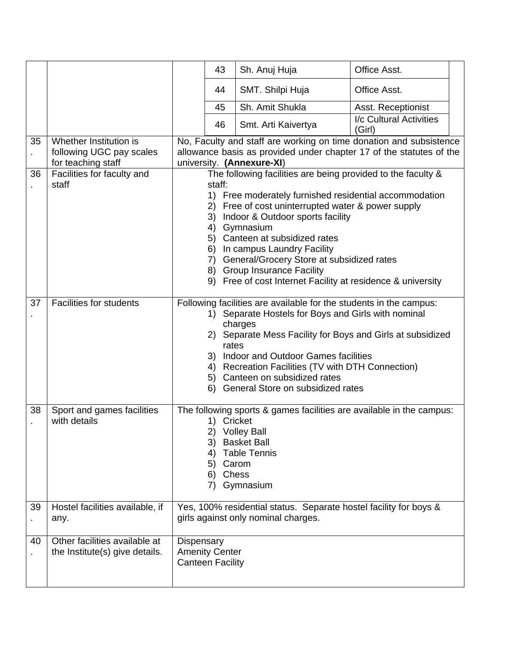|    |                                                                          |                                                                                                                                                                                                                                                                                                                                                                                                                                                                         | 43                                               | Sh. Anuj Huja                                                                                                                                                  | Office Asst.                      |  |
|----|--------------------------------------------------------------------------|-------------------------------------------------------------------------------------------------------------------------------------------------------------------------------------------------------------------------------------------------------------------------------------------------------------------------------------------------------------------------------------------------------------------------------------------------------------------------|--------------------------------------------------|----------------------------------------------------------------------------------------------------------------------------------------------------------------|-----------------------------------|--|
|    |                                                                          |                                                                                                                                                                                                                                                                                                                                                                                                                                                                         | 44                                               | SMT. Shilpi Huja                                                                                                                                               | Office Asst.                      |  |
|    |                                                                          |                                                                                                                                                                                                                                                                                                                                                                                                                                                                         | 45                                               | Sh. Amit Shukla                                                                                                                                                | Asst. Receptionist                |  |
|    |                                                                          |                                                                                                                                                                                                                                                                                                                                                                                                                                                                         | 46                                               | Smt. Arti Kaivertya                                                                                                                                            | I/c Cultural Activities<br>(Girl) |  |
| 35 | Whether Institution is<br>following UGC pay scales<br>for teaching staff | No, Faculty and staff are working on time donation and subsistence<br>allowance basis as provided under chapter 17 of the statutes of the<br>university. (Annexure-XI)                                                                                                                                                                                                                                                                                                  |                                                  |                                                                                                                                                                |                                   |  |
| 36 | Facilities for faculty and<br>staff                                      | The following facilities are being provided to the faculty &<br>staff:<br>1) Free moderately furnished residential accommodation<br>2) Free of cost uninterrupted water & power supply<br>Indoor & Outdoor sports facility<br>3)<br>4)<br>Gymnasium<br>5) Canteen at subsidized rates<br>In campus Laundry Facility<br>6)<br>7) General/Grocery Store at subsidized rates<br>8) Group Insurance Facility<br>9) Free of cost Internet Facility at residence & university |                                                  |                                                                                                                                                                |                                   |  |
| 37 | <b>Facilities for students</b>                                           | Following facilities are available for the students in the campus:<br>Separate Hostels for Boys and Girls with nominal<br>1)<br>charges<br>Separate Mess Facility for Boys and Girls at subsidized<br>2)<br>rates<br>Indoor and Outdoor Games facilities<br>3)<br>4) Recreation Facilities (TV with DTH Connection)<br>5) Canteen on subsidized rates<br>6) General Store on subsidized rates                                                                           |                                                  |                                                                                                                                                                |                                   |  |
| 38 | Sport and games facilities<br>with details                               |                                                                                                                                                                                                                                                                                                                                                                                                                                                                         | 1)<br>3)<br>4)<br>5) Carom<br>6) Chess           | The following sports & games facilities are available in the campus:<br>Cricket<br>2) Volley Ball<br><b>Basket Ball</b><br><b>Table Tennis</b><br>7) Gymnasium |                                   |  |
| 39 | Hostel facilities available, if<br>any.                                  |                                                                                                                                                                                                                                                                                                                                                                                                                                                                         |                                                  | Yes, 100% residential status. Separate hostel facility for boys &<br>girls against only nominal charges.                                                       |                                   |  |
| 40 | Other facilities available at<br>the Institute(s) give details.          | Dispensary                                                                                                                                                                                                                                                                                                                                                                                                                                                              | <b>Amenity Center</b><br><b>Canteen Facility</b> |                                                                                                                                                                |                                   |  |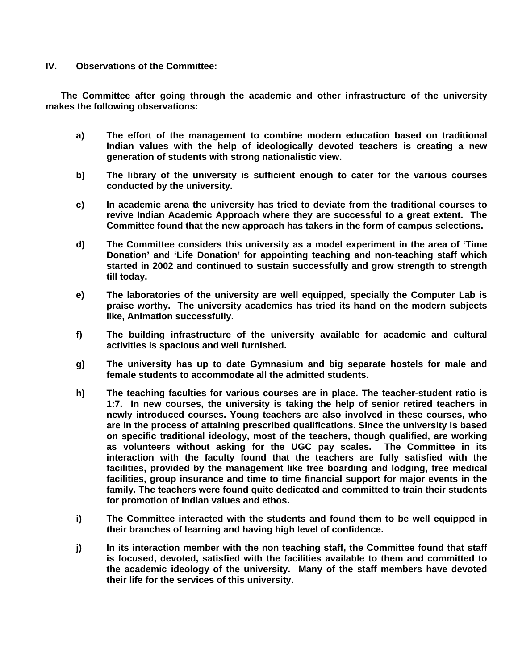## **IV. Observations of the Committee:**

**The Committee after going through the academic and other infrastructure of the university makes the following observations:** 

- **a) The effort of the management to combine modern education based on traditional Indian values with the help of ideologically devoted teachers is creating a new generation of students with strong nationalistic view.**
- **b) The library of the university is sufficient enough to cater for the various courses conducted by the university.**
- **c) In academic arena the university has tried to deviate from the traditional courses to revive Indian Academic Approach where they are successful to a great extent. The Committee found that the new approach has takers in the form of campus selections.**
- **d) The Committee considers this university as a model experiment in the area of 'Time Donation' and 'Life Donation' for appointing teaching and non-teaching staff which started in 2002 and continued to sustain successfully and grow strength to strength till today.**
- **e) The laboratories of the university are well equipped, specially the Computer Lab is praise worthy. The university academics has tried its hand on the modern subjects like, Animation successfully.**
- **f) The building infrastructure of the university available for academic and cultural activities is spacious and well furnished.**
- **g) The university has up to date Gymnasium and big separate hostels for male and female students to accommodate all the admitted students.**
- **h) The teaching faculties for various courses are in place. The teacher-student ratio is 1:7. In new courses, the university is taking the help of senior retired teachers in newly introduced courses. Young teachers are also involved in these courses, who are in the process of attaining prescribed qualifications. Since the university is based on specific traditional ideology, most of the teachers, though qualified, are working as volunteers without asking for the UGC pay scales. The Committee in its interaction with the faculty found that the teachers are fully satisfied with the facilities, provided by the management like free boarding and lodging, free medical facilities, group insurance and time to time financial support for major events in the family. The teachers were found quite dedicated and committed to train their students for promotion of Indian values and ethos.**
- **i) The Committee interacted with the students and found them to be well equipped in their branches of learning and having high level of confidence.**
- **j)** In its interaction member with the non teaching staff, the Committee found that staff **is focused, devoted, satisfied with the facilities available to them and committed to the academic ideology of the university. Many of the staff members have devoted their life for the services of this university.**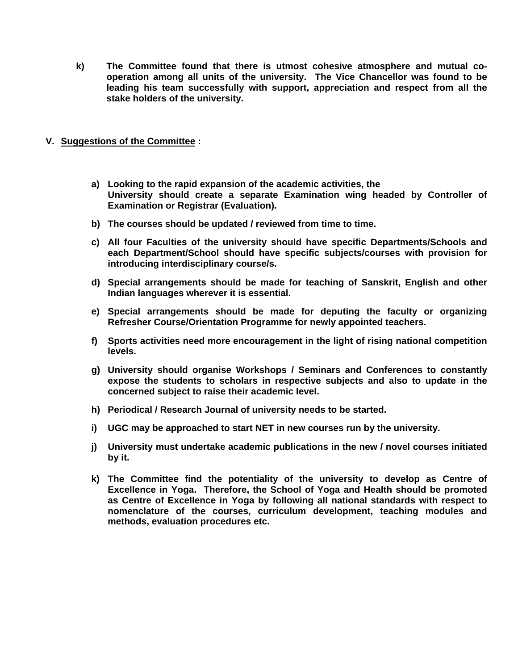- **k) The Committee found that there is utmost cohesive atmosphere and mutual cooperation among all units of the university. The Vice Chancellor was found to be leading his team successfully with support, appreciation and respect from all the stake holders of the university.**
- **V. Suggestions of the Committee :** 
	- **a) Looking to the rapid expansion of the academic activities, the University should create a separate Examination wing headed by Controller of Examination or Registrar (Evaluation).**
	- **b) The courses should be updated / reviewed from time to time.**
	- **c) All four Faculties of the university should have specific Departments/Schools and each Department/School should have specific subjects/courses with provision for introducing interdisciplinary course/s.**
	- **d) Special arrangements should be made for teaching of Sanskrit, English and other Indian languages wherever it is essential.**
	- **e) Special arrangements should be made for deputing the faculty or organizing Refresher Course/Orientation Programme for newly appointed teachers.**
	- **f) Sports activities need more encouragement in the light of rising national competition levels.**
	- **g) University should organise Workshops / Seminars and Conferences to constantly expose the students to scholars in respective subjects and also to update in the concerned subject to raise their academic level.**
	- **h) Periodical / Research Journal of university needs to be started.**
	- **i) UGC may be approached to start NET in new courses run by the university.**
	- **j) University must undertake academic publications in the new / novel courses initiated by it.**
	- **k) The Committee find the potentiality of the university to develop as Centre of Excellence in Yoga. Therefore, the School of Yoga and Health should be promoted as Centre of Excellence in Yoga by following all national standards with respect to nomenclature of the courses, curriculum development, teaching modules and methods, evaluation procedures etc.**